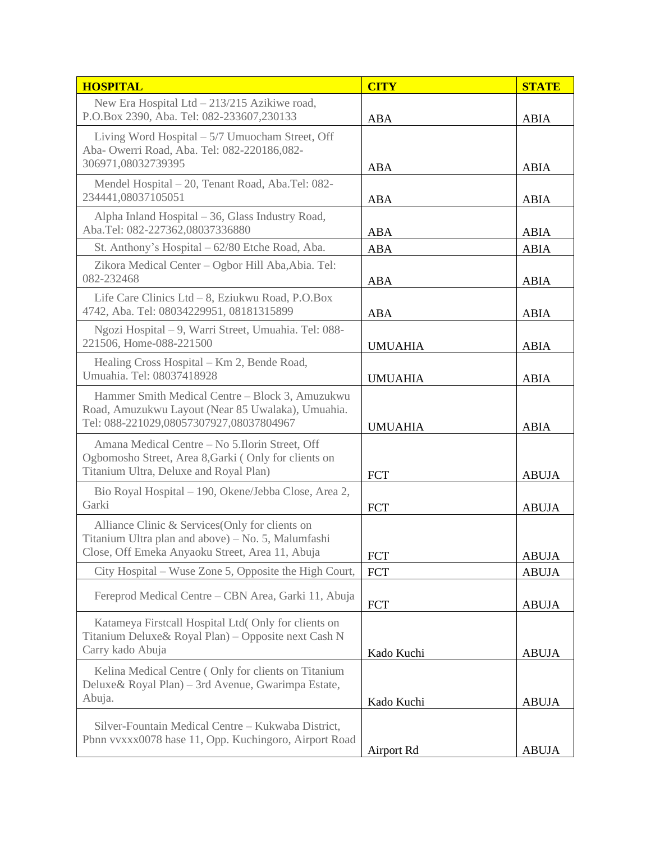| <b>HOSPITAL</b>                                                                                                                                          | <b>CITY</b>    | <b>STATE</b> |
|----------------------------------------------------------------------------------------------------------------------------------------------------------|----------------|--------------|
| New Era Hospital Ltd $-213/215$ Azikiwe road,<br>P.O.Box 2390, Aba. Tel: 082-233607,230133                                                               | <b>ABA</b>     | <b>ABIA</b>  |
| Living Word Hospital $-5/7$ Umuocham Street, Off<br>Aba- Owerri Road, Aba. Tel: 082-220186,082-<br>306971,08032739395                                    | ABA            | <b>ABIA</b>  |
| Mendel Hospital - 20, Tenant Road, Aba.Tel: 082-<br>234441,08037105051                                                                                   | ABA            | <b>ABIA</b>  |
| Alpha Inland Hospital - 36, Glass Industry Road,<br>Aba.Tel: 082-227362,08037336880                                                                      | ABA            | <b>ABIA</b>  |
| St. Anthony's Hospital – 62/80 Etche Road, Aba.                                                                                                          | <b>ABA</b>     | <b>ABIA</b>  |
| Zikora Medical Center - Ogbor Hill Aba, Abia. Tel:<br>082-232468                                                                                         | <b>ABA</b>     | <b>ABIA</b>  |
| Life Care Clinics Ltd - 8, Eziukwu Road, P.O.Box<br>4742, Aba. Tel: 08034229951, 08181315899                                                             | <b>ABA</b>     | <b>ABIA</b>  |
| Ngozi Hospital – 9, Warri Street, Umuahia. Tel: 088-<br>221506, Home-088-221500                                                                          | <b>UMUAHIA</b> | <b>ABIA</b>  |
| Healing Cross Hospital – Km 2, Bende Road,<br>Umuahia. Tel: 08037418928                                                                                  | <b>UMUAHIA</b> | <b>ABIA</b>  |
| Hammer Smith Medical Centre - Block 3, Amuzukwu<br>Road, Amuzukwu Layout (Near 85 Uwalaka), Umuahia.<br>Tel: 088-221029,08057307927,08037804967          | <b>UMUAHIA</b> | <b>ABIA</b>  |
| Amana Medical Centre - No 5.Ilorin Street, Off<br>Ogbomosho Street, Area 8, Garki (Only for clients on<br>Titanium Ultra, Deluxe and Royal Plan)         | <b>FCT</b>     | <b>ABUJA</b> |
| Bio Royal Hospital - 190, Okene/Jebba Close, Area 2,<br>Garki                                                                                            | <b>FCT</b>     | <b>ABUJA</b> |
| Alliance Clinic & Services (Only for clients on<br>Titanium Ultra plan and above) – No. 5, Malumfashi<br>Close, Off Emeka Anyaoku Street, Area 11, Abuja | FCT            | <b>ABUJA</b> |
| City Hospital – Wuse Zone 5, Opposite the High Court,                                                                                                    | <b>FCT</b>     | <b>ABUJA</b> |
| Fereprod Medical Centre – CBN Area, Garki 11, Abuja                                                                                                      | <b>FCT</b>     | <b>ABUJA</b> |
| Katameya Firstcall Hospital Ltd( Only for clients on<br>Titanium Deluxe& Royal Plan) - Opposite next Cash N<br>Carry kado Abuja                          |                |              |
| Kelina Medical Centre (Only for clients on Titanium<br>Deluxe& Royal Plan) – 3rd Avenue, Gwarimpa Estate,                                                | Kado Kuchi     | <b>ABUJA</b> |
| Abuja.                                                                                                                                                   | Kado Kuchi     | <b>ABUJA</b> |
| Silver-Fountain Medical Centre – Kukwaba District,<br>Pbnn vvxxx0078 hase 11, Opp. Kuchingoro, Airport Road                                              | Airport Rd     | <b>ABUJA</b> |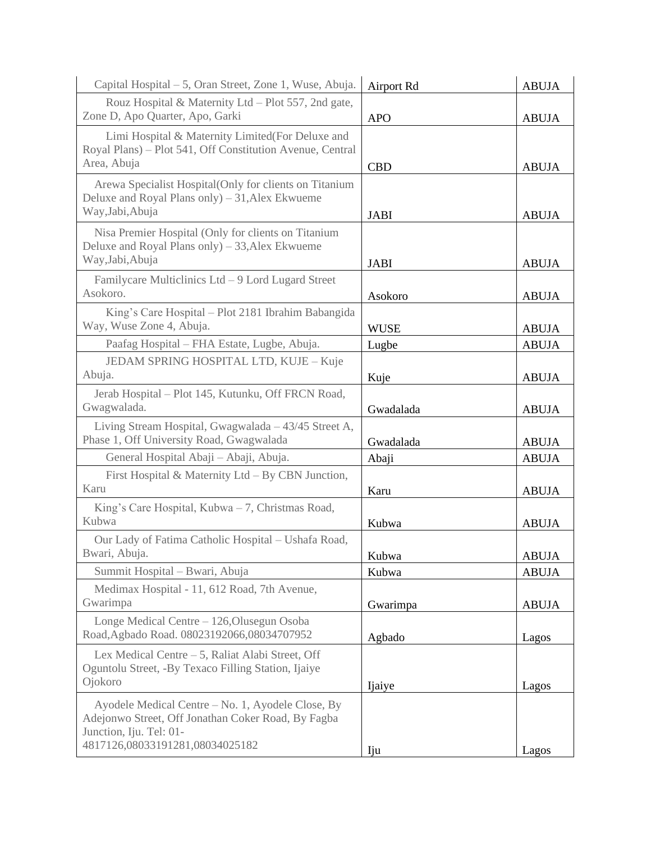| Capital Hospital – 5, Oran Street, Zone 1, Wuse, Abuja.                                                                                                               | Airport Rd  | <b>ABUJA</b> |
|-----------------------------------------------------------------------------------------------------------------------------------------------------------------------|-------------|--------------|
| Rouz Hospital & Maternity Ltd - Plot 557, 2nd gate,<br>Zone D, Apo Quarter, Apo, Garki                                                                                | <b>APO</b>  | <b>ABUJA</b> |
| Limi Hospital & Maternity Limited (For Deluxe and<br>Royal Plans) - Plot 541, Off Constitution Avenue, Central<br>Area, Abuja                                         | <b>CBD</b>  | <b>ABUJA</b> |
| Arewa Specialist Hospital(Only for clients on Titanium<br>Deluxe and Royal Plans only) – 31, Alex Ekwueme<br>Way, Jabi, Abuja                                         | <b>JABI</b> | <b>ABUJA</b> |
| Nisa Premier Hospital (Only for clients on Titanium<br>Deluxe and Royal Plans only) – 33, Alex Ekwueme<br>Way, Jabi, Abuja                                            | <b>JABI</b> | <b>ABUJA</b> |
| Familycare Multiclinics Ltd - 9 Lord Lugard Street<br>Asokoro.                                                                                                        | Asokoro     | <b>ABUJA</b> |
| King's Care Hospital – Plot 2181 Ibrahim Babangida<br>Way, Wuse Zone 4, Abuja.                                                                                        | <b>WUSE</b> | <b>ABUJA</b> |
| Paafag Hospital – FHA Estate, Lugbe, Abuja.                                                                                                                           | Lugbe       | <b>ABUJA</b> |
| JEDAM SPRING HOSPITAL LTD, KUJE - Kuje<br>Abuja.                                                                                                                      | Kuje        | <b>ABUJA</b> |
| Jerab Hospital - Plot 145, Kutunku, Off FRCN Road,<br>Gwagwalada.                                                                                                     | Gwadalada   | <b>ABUJA</b> |
| Living Stream Hospital, Gwagwalada - 43/45 Street A,<br>Phase 1, Off University Road, Gwagwalada                                                                      | Gwadalada   | <b>ABUJA</b> |
| General Hospital Abaji - Abaji, Abuja.                                                                                                                                | Abaji       | <b>ABUJA</b> |
| First Hospital & Maternity Ltd – By CBN Junction,<br>Karu                                                                                                             | Karu        | <b>ABUJA</b> |
| King's Care Hospital, Kubwa $-7$ , Christmas Road,<br>Kubwa                                                                                                           | Kubwa       | <b>ABUJA</b> |
| Our Lady of Fatima Catholic Hospital - Ushafa Road,<br>Bwari, Abuja.                                                                                                  | Kubwa       | <b>ABUJA</b> |
| Summit Hospital - Bwari, Abuja                                                                                                                                        | Kubwa       | <b>ABUJA</b> |
| Medimax Hospital - 11, 612 Road, 7th Avenue,<br>Gwarimpa                                                                                                              | Gwarimpa    | <b>ABUJA</b> |
| Longe Medical Centre - 126, Olusegun Osoba<br>Road, Agbado Road. 08023192066,08034707952                                                                              | Agbado      | Lagos        |
| Lex Medical Centre – 5, Raliat Alabi Street, Off<br>Oguntolu Street, -By Texaco Filling Station, Ijaiye<br>Ojokoro                                                    | Ijaiye      | Lagos        |
| Ayodele Medical Centre – No. 1, Ayodele Close, By<br>Adejonwo Street, Off Jonathan Coker Road, By Fagba<br>Junction, Iju. Tel: 01-<br>4817126,08033191281,08034025182 | Iju         | Lagos        |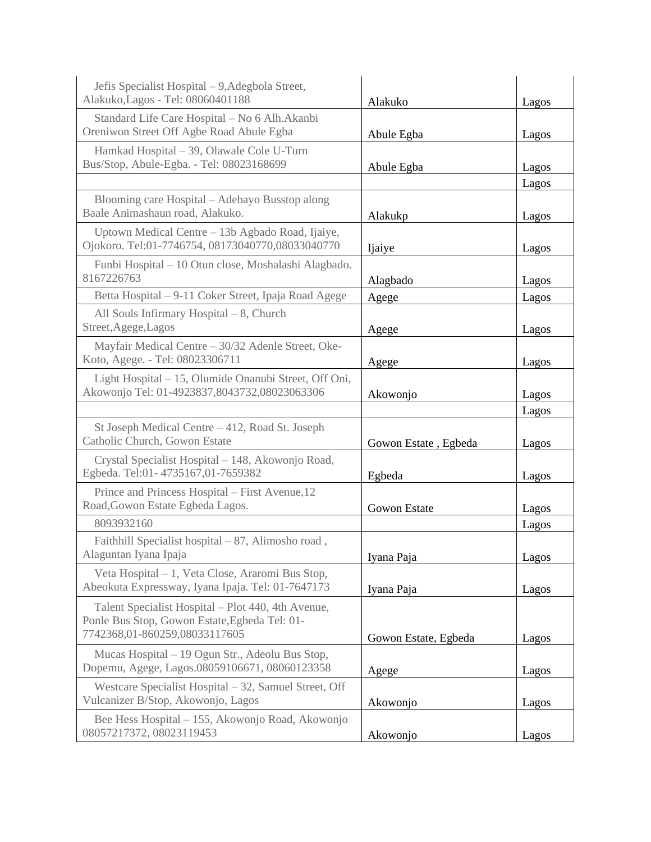| Jefis Specialist Hospital – 9, Adegbola Street,<br>Alakuko, Lagos - Tel: 08060401188                                                 | Alakuko              | Lagos |
|--------------------------------------------------------------------------------------------------------------------------------------|----------------------|-------|
| Standard Life Care Hospital - No 6 Alh. Akanbi<br>Oreniwon Street Off Agbe Road Abule Egba                                           | Abule Egba           | Lagos |
| Hamkad Hospital - 39, Olawale Cole U-Turn<br>Bus/Stop, Abule-Egba. - Tel: 08023168699                                                | Abule Egba           | Lagos |
|                                                                                                                                      |                      | Lagos |
| Blooming care Hospital – Adebayo Busstop along<br>Baale Animashaun road, Alakuko.                                                    | Alakukp              | Lagos |
| Uptown Medical Centre - 13b Agbado Road, Ijaiye,<br>Ojokoro. Tel:01-7746754, 08173040770,08033040770                                 | Ijaiye               | Lagos |
| Funbi Hospital – 10 Otun close, Moshalashi Alagbado.<br>8167226763                                                                   | Alagbado             | Lagos |
| Betta Hospital – 9-11 Coker Street, Ipaja Road Agege                                                                                 | Agege                | Lagos |
| All Souls Infirmary Hospital $-8$ , Church<br>Street, Agege, Lagos                                                                   | Agege                | Lagos |
| Mayfair Medical Centre - 30/32 Adenle Street, Oke-<br>Koto, Agege. - Tel: 08023306711                                                | Agege                | Lagos |
| Light Hospital - 15, Olumide Onanubi Street, Off Oni,<br>Akowonjo Tel: 01-4923837,8043732,08023063306                                | Akowonjo             | Lagos |
|                                                                                                                                      |                      | Lagos |
| St Joseph Medical Centre - 412, Road St. Joseph<br>Catholic Church, Gowon Estate                                                     | Gowon Estate, Egbeda | Lagos |
| Crystal Specialist Hospital - 148, Akowonjo Road,<br>Egbeda. Tel:01-4735167,01-7659382                                               | Egbeda               | Lagos |
| Prince and Princess Hospital - First Avenue, 12<br>Road, Gowon Estate Egbeda Lagos.                                                  | <b>Gowon Estate</b>  | Lagos |
| 8093932160                                                                                                                           |                      | Lagos |
| Faithfill Specialist hospital $-87$ , Alimosho road,<br>Alaguntan Iyana Ipaja                                                        | Iyana Paja           | Lagos |
| Veta Hospital - 1, Veta Close, Araromi Bus Stop,<br>Abeokuta Expressway, Iyana Ipaja. Tel: 01-7647173                                | Iyana Paja           | Lagos |
| Talent Specialist Hospital - Plot 440, 4th Avenue,<br>Ponle Bus Stop, Gowon Estate, Egbeda Tel: 01-<br>7742368,01-860259,08033117605 | Gowon Estate, Egbeda | Lagos |
| Mucas Hospital – 19 Ogun Str., Adeolu Bus Stop,<br>Dopemu, Agege, Lagos.08059106671, 08060123358                                     | Agege                | Lagos |
| Westcare Specialist Hospital – 32, Samuel Street, Off<br>Vulcanizer B/Stop, Akowonjo, Lagos                                          | Akowonjo             | Lagos |
| Bee Hess Hospital – 155, Akowonjo Road, Akowonjo<br>08057217372, 08023119453                                                         | Akowonjo             | Lagos |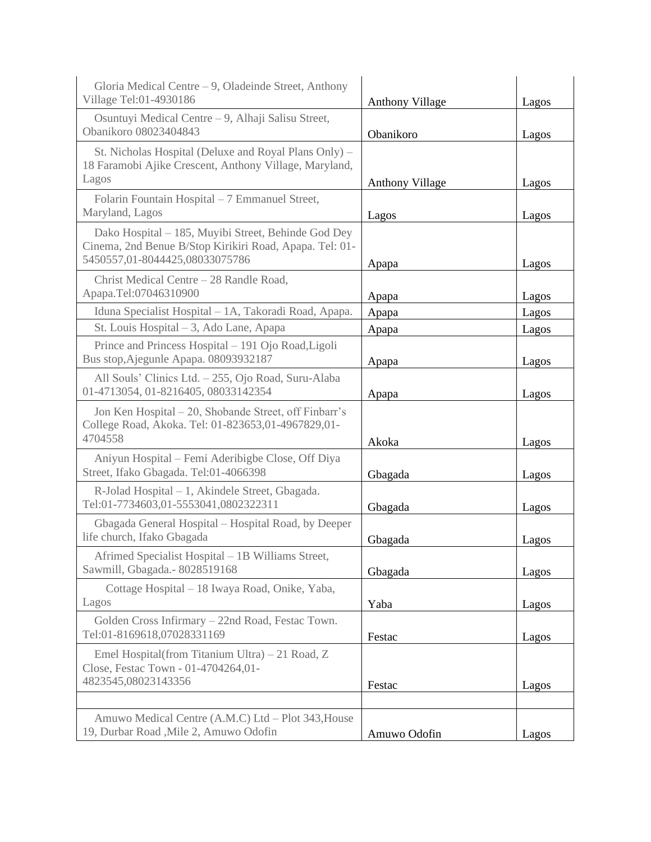| Gloria Medical Centre $-9$ , Oladeinde Street, Anthony<br>Village Tel:01-4930186                                                                 | <b>Anthony Village</b> | Lagos |
|--------------------------------------------------------------------------------------------------------------------------------------------------|------------------------|-------|
| Osuntuyi Medical Centre – 9, Alhaji Salisu Street,<br>Obanikoro 08023404843                                                                      | Obanikoro              | Lagos |
| St. Nicholas Hospital (Deluxe and Royal Plans Only) -<br>18 Faramobi Ajike Crescent, Anthony Village, Maryland,<br>Lagos                         | <b>Anthony Village</b> | Lagos |
| Folarin Fountain Hospital - 7 Emmanuel Street,<br>Maryland, Lagos                                                                                | Lagos                  | Lagos |
| Dako Hospital - 185, Muyibi Street, Behinde God Dey<br>Cinema, 2nd Benue B/Stop Kirikiri Road, Apapa. Tel: 01-<br>5450557,01-8044425,08033075786 | Apapa                  | Lagos |
| Christ Medical Centre - 28 Randle Road,<br>Apapa.Tel:07046310900                                                                                 | Apapa                  | Lagos |
| Iduna Specialist Hospital - 1A, Takoradi Road, Apapa.                                                                                            | Apapa                  | Lagos |
| St. Louis Hospital – 3, Ado Lane, Apapa                                                                                                          | Apapa                  | Lagos |
| Prince and Princess Hospital - 191 Ojo Road, Ligoli<br>Bus stop, Ajegunle Apapa. 08093932187                                                     | Apapa                  | Lagos |
| All Souls' Clinics Ltd. - 255, Ojo Road, Suru-Alaba<br>01-4713054, 01-8216405, 08033142354                                                       | Apapa                  | Lagos |
| Jon Ken Hospital - 20, Shobande Street, off Finbarr's<br>College Road, Akoka. Tel: 01-823653,01-4967829,01-<br>4704558                           | Akoka                  | Lagos |
| Aniyun Hospital - Femi Aderibigbe Close, Off Diya<br>Street, Ifako Gbagada. Tel:01-4066398                                                       | Gbagada                | Lagos |
| R-Jolad Hospital - 1, Akindele Street, Gbagada.<br>Tel:01-7734603,01-5553041,0802322311                                                          | Gbagada                | Lagos |
| Gbagada General Hospital - Hospital Road, by Deeper<br>life church, Ifako Gbagada                                                                | Gbagada                | Lagos |
| Afrimed Specialist Hospital - 1B Williams Street,<br>Sawmill, Gbagada. - 8028519168                                                              | Gbagada                | Lagos |
| Cottage Hospital - 18 Iwaya Road, Onike, Yaba,<br>Lagos                                                                                          | Yaba                   | Lagos |
| Golden Cross Infirmary - 22nd Road, Festac Town.<br>Tel:01-8169618,07028331169                                                                   | Festac                 | Lagos |
| Emel Hospital(from Titanium Ultra) – 21 Road, Z<br>Close, Festac Town - 01-4704264,01-<br>4823545,08023143356                                    | Festac                 | Lagos |
|                                                                                                                                                  |                        |       |
| Amuwo Medical Centre (A.M.C) Ltd - Plot 343, House<br>19, Durbar Road, Mile 2, Amuwo Odofin                                                      | Amuwo Odofin           | Lagos |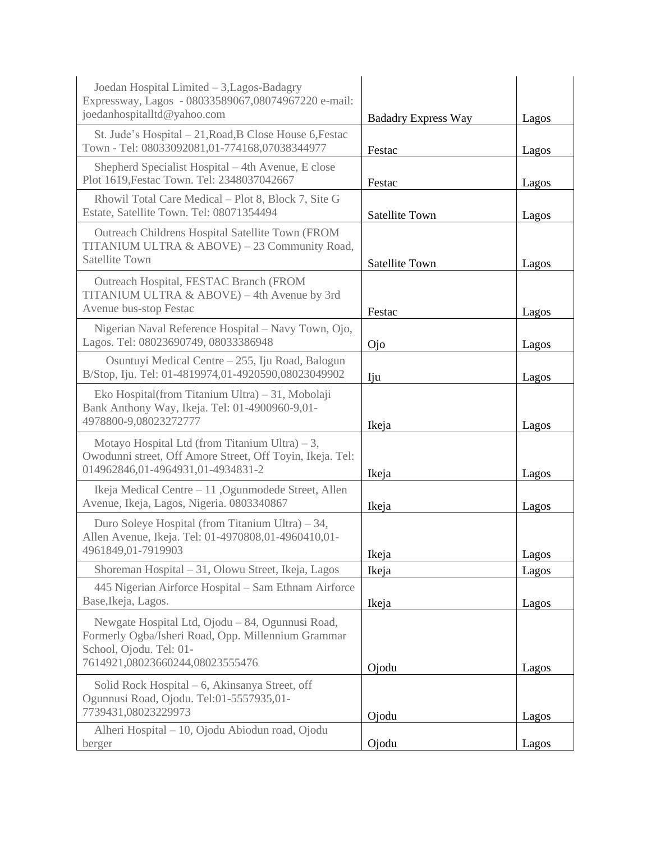| Joedan Hospital Limited - 3, Lagos-Badagry<br>Expressway, Lagos - 08033589067,08074967220 e-mail:<br>joedanhospitalltd@yahoo.com                                     | <b>Badadry Express Way</b> | Lagos |
|----------------------------------------------------------------------------------------------------------------------------------------------------------------------|----------------------------|-------|
| St. Jude's Hospital - 21, Road, B Close House 6, Festac<br>Town - Tel: 08033092081,01-774168,07038344977                                                             | Festac                     | Lagos |
| Shepherd Specialist Hospital - 4th Avenue, E close<br>Plot 1619, Festac Town. Tel: 2348037042667                                                                     | Festac                     | Lagos |
| Rhowil Total Care Medical – Plot 8, Block 7, Site G<br>Estate, Satellite Town. Tel: 08071354494                                                                      | <b>Satellite Town</b>      | Lagos |
| Outreach Childrens Hospital Satellite Town (FROM<br>TITANIUM ULTRA & ABOVE) - 23 Community Road,<br><b>Satellite Town</b>                                            | <b>Satellite Town</b>      | Lagos |
| Outreach Hospital, FESTAC Branch (FROM<br>TITANIUM ULTRA & ABOVE) - 4th Avenue by 3rd<br>Avenue bus-stop Festac                                                      | Festac                     | Lagos |
| Nigerian Naval Reference Hospital - Navy Town, Ojo,<br>Lagos. Tel: 08023690749, 08033386948                                                                          | $O$ jo                     | Lagos |
| Osuntuyi Medical Centre - 255, Iju Road, Balogun<br>B/Stop, Iju. Tel: 01-4819974,01-4920590,08023049902                                                              | Iju                        | Lagos |
| Eko Hospital(from Titanium Ultra) – 31, Mobolaji<br>Bank Anthony Way, Ikeja. Tel: 01-4900960-9,01-<br>4978800-9,08023272777                                          | Ikeja                      | Lagos |
| Motayo Hospital Ltd (from Titanium Ultra) $-3$ ,<br>Owodunni street, Off Amore Street, Off Toyin, Ikeja. Tel:<br>014962846,01-4964931,01-4934831-2                   | Ikeja                      | Lagos |
| Ikeja Medical Centre – 11, Ogunmodede Street, Allen<br>Avenue, Ikeja, Lagos, Nigeria. 0803340867                                                                     | Ikeja                      | Lagos |
| Duro Soleye Hospital (from Titanium Ultra) $-34$ ,<br>Allen Avenue, Ikeja. Tel: 01-4970808,01-4960410,01-<br>4961849,01-7919903                                      | Ikeja                      | Lagos |
| Shoreman Hospital - 31, Olowu Street, Ikeja, Lagos                                                                                                                   | Ikeja                      | Lagos |
| 445 Nigerian Airforce Hospital - Sam Ethnam Airforce<br>Base, Ikeja, Lagos.                                                                                          | Ikeja                      | Lagos |
| Newgate Hospital Ltd, Ojodu – 84, Ogunnusi Road,<br>Formerly Ogba/Isheri Road, Opp. Millennium Grammar<br>School, Ojodu. Tel: 01-<br>7614921,08023660244,08023555476 | Ojodu                      | Lagos |
| Solid Rock Hospital – 6, Akinsanya Street, off<br>Ogunnusi Road, Ojodu. Tel:01-5557935,01-<br>7739431,08023229973                                                    | Ojodu                      | Lagos |
| Alheri Hospital - 10, Ojodu Abiodun road, Ojodu<br>berger                                                                                                            | Ojodu                      | Lagos |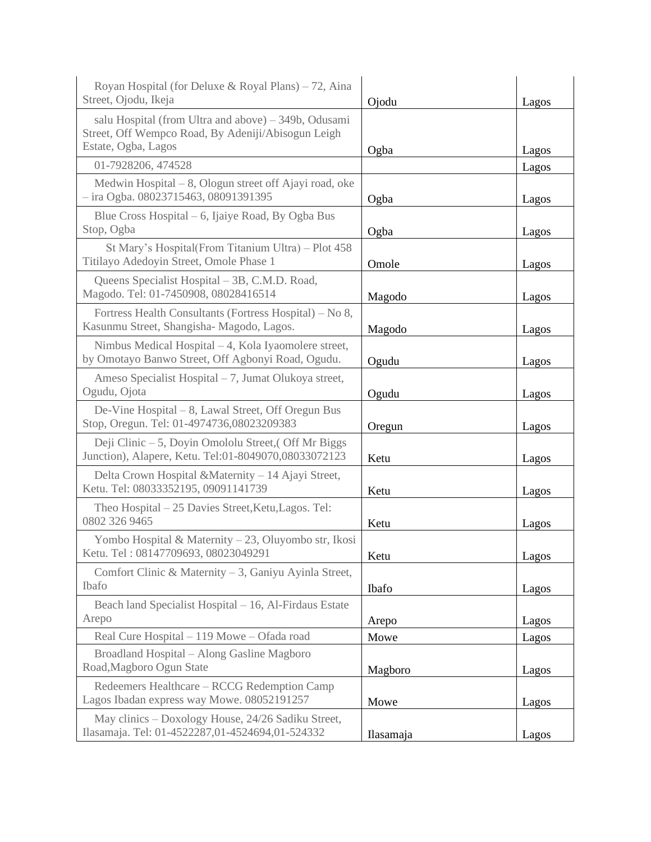| Royan Hospital (for Deluxe & Royal Plans) – 72, Aina<br>Street, Ojodu, Ikeja                                 | Ojodu     | Lagos |
|--------------------------------------------------------------------------------------------------------------|-----------|-------|
| salu Hospital (from Ultra and above) – 349b, Odusami<br>Street, Off Wempco Road, By Adeniji/Abisogun Leigh   |           |       |
| Estate, Ogba, Lagos                                                                                          | Ogba      | Lagos |
| 01-7928206, 474528                                                                                           |           | Lagos |
| Medwin Hospital $-8$ , Ologun street off Ajayi road, oke<br>$-$ ira Ogba. 08023715463, 08091391395           | Ogba      | Lagos |
| Blue Cross Hospital – 6, Ijaiye Road, By Ogba Bus<br>Stop, Ogba                                              | Ogba      | Lagos |
| St Mary's Hospital(From Titanium Ultra) - Plot 458<br>Titilayo Adedoyin Street, Omole Phase 1                | Omole     | Lagos |
| Queens Specialist Hospital – 3B, C.M.D. Road,<br>Magodo. Tel: 01-7450908, 08028416514                        | Magodo    | Lagos |
| Fortress Health Consultants (Fortress Hospital) – No 8,<br>Kasunmu Street, Shangisha- Magodo, Lagos.         | Magodo    | Lagos |
| Nimbus Medical Hospital - 4, Kola Iyaomolere street,<br>by Omotayo Banwo Street, Off Agbonyi Road, Ogudu.    | Ogudu     | Lagos |
| Ameso Specialist Hospital – 7, Jumat Olukoya street,<br>Ogudu, Ojota                                         | Ogudu     | Lagos |
| De-Vine Hospital - 8, Lawal Street, Off Oregun Bus<br>Stop, Oregun. Tel: 01-4974736,08023209383              | Oregun    | Lagos |
| Deji Clinic – 5, Doyin Omololu Street, (Off Mr Biggs<br>Junction), Alapere, Ketu. Tel:01-8049070,08033072123 | Ketu      | Lagos |
| Delta Crown Hospital & Maternity - 14 Ajayi Street,<br>Ketu. Tel: 08033352195, 09091141739                   | Ketu      | Lagos |
| Theo Hospital – 25 Davies Street, Ketu, Lagos. Tel:<br>0802 326 9465                                         | Ketu      | Lagos |
| Yombo Hospital & Maternity – 23, Oluyombo str, Ikosi<br>Ketu. Tel: 08147709693, 08023049291                  | Ketu      | Lagos |
| Comfort Clinic & Maternity - 3, Ganiyu Ayinla Street,<br>Ibafo                                               | Ibafo     | Lagos |
| Beach land Specialist Hospital - 16, Al-Firdaus Estate<br>Arepo                                              | Arepo     | Lagos |
| Real Cure Hospital - 119 Mowe - Ofada road                                                                   | Mowe      | Lagos |
| Broadland Hospital - Along Gasline Magboro<br>Road, Magboro Ogun State                                       | Magboro   | Lagos |
| Redeemers Healthcare - RCCG Redemption Camp<br>Lagos Ibadan express way Mowe. 08052191257                    | Mowe      | Lagos |
| May clinics - Doxology House, 24/26 Sadiku Street,<br>Ilasamaja. Tel: 01-4522287,01-4524694,01-524332        | Ilasamaja | Lagos |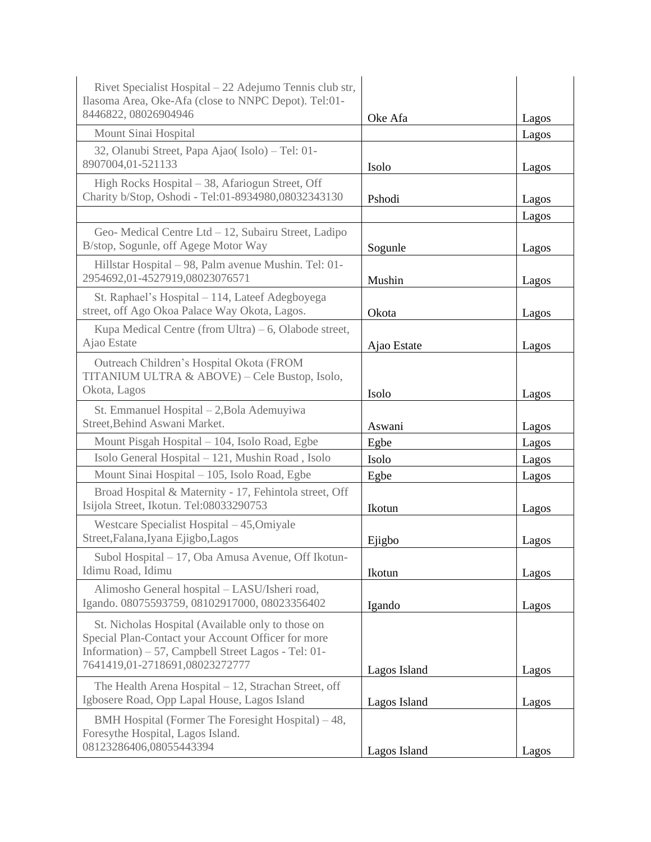| Rivet Specialist Hospital – 22 Adejumo Tennis club str,<br>Ilasoma Area, Oke-Afa (close to NNPC Depot). Tel:01-<br>8446822, 08026904946                                                          | Oke Afa      |                |
|--------------------------------------------------------------------------------------------------------------------------------------------------------------------------------------------------|--------------|----------------|
| Mount Sinai Hospital                                                                                                                                                                             |              | Lagos<br>Lagos |
| 32, Olanubi Street, Papa Ajao(Isolo) - Tel: 01-                                                                                                                                                  |              |                |
| 8907004,01-521133                                                                                                                                                                                | Isolo        | Lagos          |
| High Rocks Hospital - 38, Afariogun Street, Off                                                                                                                                                  |              |                |
| Charity b/Stop, Oshodi - Tel:01-8934980,08032343130                                                                                                                                              | Pshodi       | Lagos          |
|                                                                                                                                                                                                  |              | Lagos          |
| Geo-Medical Centre Ltd - 12, Subairu Street, Ladipo<br>B/stop, Sogunle, off Agege Motor Way                                                                                                      | Sogunle      | Lagos          |
| Hillstar Hospital - 98, Palm avenue Mushin. Tel: 01-<br>2954692,01-4527919,08023076571                                                                                                           | Mushin       | Lagos          |
| St. Raphael's Hospital - 114, Lateef Adegboyega<br>street, off Ago Okoa Palace Way Okota, Lagos.                                                                                                 | Okota        | Lagos          |
| Kupa Medical Centre (from Ultra) $-6$ , Olabode street,<br>Ajao Estate                                                                                                                           | Ajao Estate  | Lagos          |
| Outreach Children's Hospital Okota (FROM<br>TITANIUM ULTRA & ABOVE) - Cele Bustop, Isolo,<br>Okota, Lagos                                                                                        | Isolo        | Lagos          |
| St. Emmanuel Hospital - 2, Bola Ademuyiwa<br>Street, Behind Aswani Market.                                                                                                                       | Aswani       | Lagos          |
| Mount Pisgah Hospital - 104, Isolo Road, Egbe                                                                                                                                                    | Egbe         | Lagos          |
| Isolo General Hospital - 121, Mushin Road, Isolo                                                                                                                                                 | Isolo        | Lagos          |
| Mount Sinai Hospital - 105, Isolo Road, Egbe                                                                                                                                                     | Egbe         | Lagos          |
| Broad Hospital & Maternity - 17, Fehintola street, Off<br>Isijola Street, Ikotun. Tel:08033290753                                                                                                | Ikotun       | Lagos          |
| Westcare Specialist Hospital - 45, Omiyale<br>Street, Falana, Iyana Ejigbo, Lagos                                                                                                                | Ejigbo       | Lagos          |
| Subol Hospital - 17, Oba Amusa Avenue, Off Ikotun-<br>Idimu Road, Idimu                                                                                                                          | Ikotun       | Lagos          |
| Alimosho General hospital - LASU/Isheri road,<br>Igando. 08075593759, 08102917000, 08023356402                                                                                                   | Igando       | Lagos          |
| St. Nicholas Hospital (Available only to those on<br>Special Plan-Contact your Account Officer for more<br>Information) – 57, Campbell Street Lagos - Tel: 01-<br>7641419,01-2718691,08023272777 | Lagos Island | Lagos          |
| The Health Arena Hospital - 12, Strachan Street, off<br>Igbosere Road, Opp Lapal House, Lagos Island                                                                                             | Lagos Island | Lagos          |
| BMH Hospital (Former The Foresight Hospital) – 48,<br>Foresythe Hospital, Lagos Island.<br>08123286406,08055443394                                                                               | Lagos Island | Lagos          |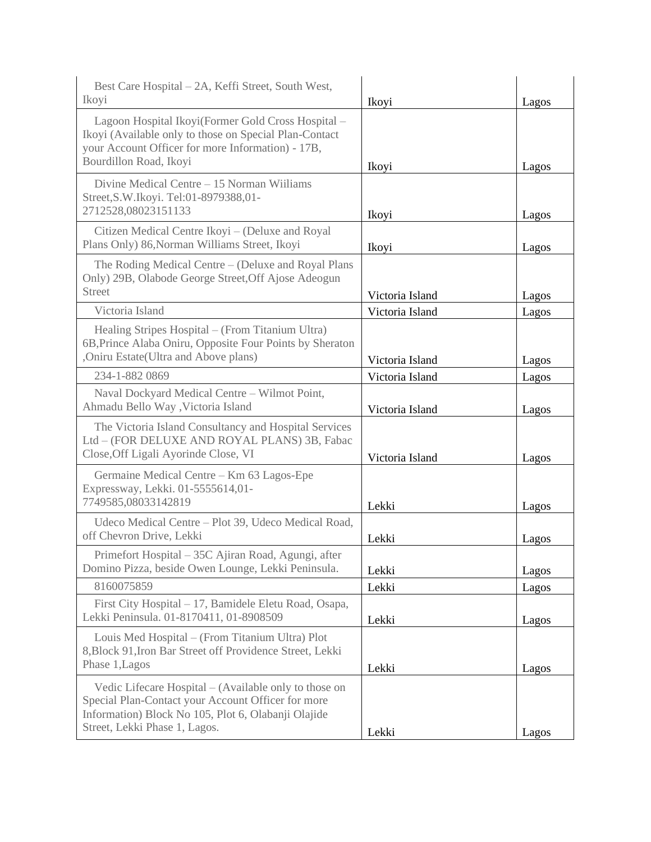| Best Care Hospital - 2A, Keffi Street, South West,<br>Ikoyi                                                                                                                                         | Ikoyi           | Lagos |
|-----------------------------------------------------------------------------------------------------------------------------------------------------------------------------------------------------|-----------------|-------|
| Lagoon Hospital Ikoyi(Former Gold Cross Hospital -<br>Ikoyi (Available only to those on Special Plan-Contact<br>your Account Officer for more Information) - 17B,<br>Bourdillon Road, Ikoyi         | Ikoyi           | Lagos |
| Divine Medical Centre - 15 Norman Wiiliams<br>Street, S.W. Ikoyi. Tel: 01-8979388, 01-<br>2712528,08023151133                                                                                       | Ikoyi           | Lagos |
| Citizen Medical Centre Ikoyi – (Deluxe and Royal<br>Plans Only) 86, Norman Williams Street, Ikoyi                                                                                                   | Ikoyi           | Lagos |
| The Roding Medical Centre – (Deluxe and Royal Plans<br>Only) 29B, Olabode George Street, Off Ajose Adeogun<br><b>Street</b>                                                                         | Victoria Island | Lagos |
| Victoria Island                                                                                                                                                                                     | Victoria Island | Lagos |
| Healing Stripes Hospital - (From Titanium Ultra)<br>6B, Prince Alaba Oniru, Opposite Four Points by Sheraton<br>,Oniru Estate(Ultra and Above plans)                                                | Victoria Island | Lagos |
| 234-1-882 0869                                                                                                                                                                                      | Victoria Island | Lagos |
| Naval Dockyard Medical Centre - Wilmot Point,<br>Ahmadu Bello Way , Victoria Island                                                                                                                 | Victoria Island | Lagos |
| The Victoria Island Consultancy and Hospital Services<br>Ltd - (FOR DELUXE AND ROYAL PLANS) 3B, Fabac<br>Close, Off Ligali Ayorinde Close, VI                                                       | Victoria Island | Lagos |
| Germaine Medical Centre - Km 63 Lagos-Epe<br>Expressway, Lekki. 01-5555614,01-<br>7749585,08033142819                                                                                               | Lekki           | Lagos |
| Udeco Medical Centre - Plot 39, Udeco Medical Road,<br>off Chevron Drive, Lekki                                                                                                                     | Lekki           | Lagos |
| Primefort Hospital - 35C Ajiran Road, Agungi, after<br>Domino Pizza, beside Owen Lounge, Lekki Peninsula.                                                                                           | Lekki           | Lagos |
| 8160075859                                                                                                                                                                                          | Lekki           | Lagos |
| First City Hospital - 17, Bamidele Eletu Road, Osapa,<br>Lekki Peninsula. 01-8170411, 01-8908509                                                                                                    | Lekki           | Lagos |
| Louis Med Hospital - (From Titanium Ultra) Plot<br>8, Block 91, Iron Bar Street off Providence Street, Lekki<br>Phase 1, Lagos                                                                      | Lekki           | Lagos |
| Vedic Lifecare Hospital – (Available only to those on<br>Special Plan-Contact your Account Officer for more<br>Information) Block No 105, Plot 6, Olabanji Olajide<br>Street, Lekki Phase 1, Lagos. | Lekki           | Lagos |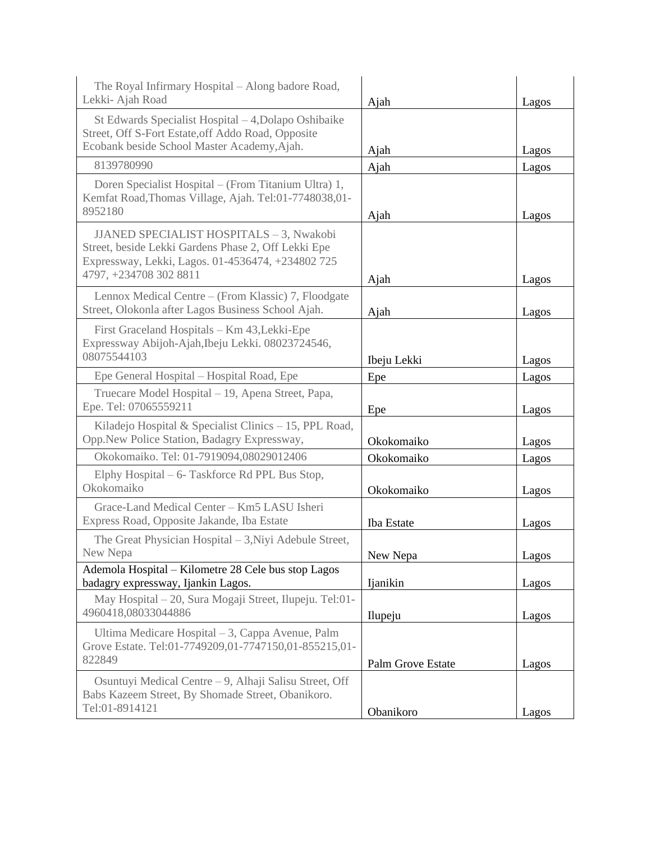| The Royal Infirmary Hospital - Along badore Road,<br>Lekki- Ajah Road                                                                                                          | Ajah              | Lagos |
|--------------------------------------------------------------------------------------------------------------------------------------------------------------------------------|-------------------|-------|
| St Edwards Specialist Hospital - 4, Dolapo Oshibaike<br>Street, Off S-Fort Estate, off Addo Road, Opposite<br>Ecobank beside School Master Academy, Ajah.                      | Ajah              | Lagos |
| 8139780990                                                                                                                                                                     | Ajah              | Lagos |
| Doren Specialist Hospital - (From Titanium Ultra) 1,<br>Kemfat Road, Thomas Village, Ajah. Tel:01-7748038,01-<br>8952180                                                       | Ajah              | Lagos |
| JJANED SPECIALIST HOSPITALS - 3, Nwakobi<br>Street, beside Lekki Gardens Phase 2, Off Lekki Epe<br>Expressway, Lekki, Lagos. 01-4536474, +234802 725<br>4797, +234708 302 8811 | Ajah              | Lagos |
| Lennox Medical Centre – (From Klassic) 7, Floodgate<br>Street, Olokonla after Lagos Business School Ajah.                                                                      | Ajah              | Lagos |
| First Graceland Hospitals - Km 43, Lekki-Epe<br>Expressway Abijoh-Ajah, Ibeju Lekki. 08023724546,<br>08075544103                                                               | Ibeju Lekki       | Lagos |
| Epe General Hospital - Hospital Road, Epe                                                                                                                                      | Epe               | Lagos |
| Truecare Model Hospital - 19, Apena Street, Papa,<br>Epe. Tel: 07065559211                                                                                                     | Epe               | Lagos |
| Kiladejo Hospital & Specialist Clinics $-15$ , PPL Road,<br>Opp.New Police Station, Badagry Expressway,                                                                        | Okokomaiko        | Lagos |
| Okokomaiko. Tel: 01-7919094,08029012406                                                                                                                                        | Okokomaiko        | Lagos |
| Elphy Hospital – 6- Taskforce Rd PPL Bus Stop,<br>Okokomaiko                                                                                                                   | Okokomaiko        | Lagos |
| Grace-Land Medical Center - Km5 LASU Isheri<br>Express Road, Opposite Jakande, Iba Estate                                                                                      | Iba Estate        | Lagos |
| The Great Physician Hospital – 3, Niyi Adebule Street,<br>New Nepa                                                                                                             | New Nepa          | Lagos |
| Ademola Hospital - Kilometre 28 Cele bus stop Lagos<br>badagry expressway, Ijankin Lagos.                                                                                      | Ijanikin          | Lagos |
| May Hospital – 20, Sura Mogaji Street, Ilupeju. Tel:01-<br>4960418,08033044886                                                                                                 | Ilupeju           | Lagos |
| Ultima Medicare Hospital – 3, Cappa Avenue, Palm<br>Grove Estate. Tel:01-7749209,01-7747150,01-855215,01-<br>822849                                                            | Palm Grove Estate | Lagos |
| Osuntuyi Medical Centre - 9, Alhaji Salisu Street, Off<br>Babs Kazeem Street, By Shomade Street, Obanikoro.<br>Tel:01-8914121                                                  | Obanikoro         | Lagos |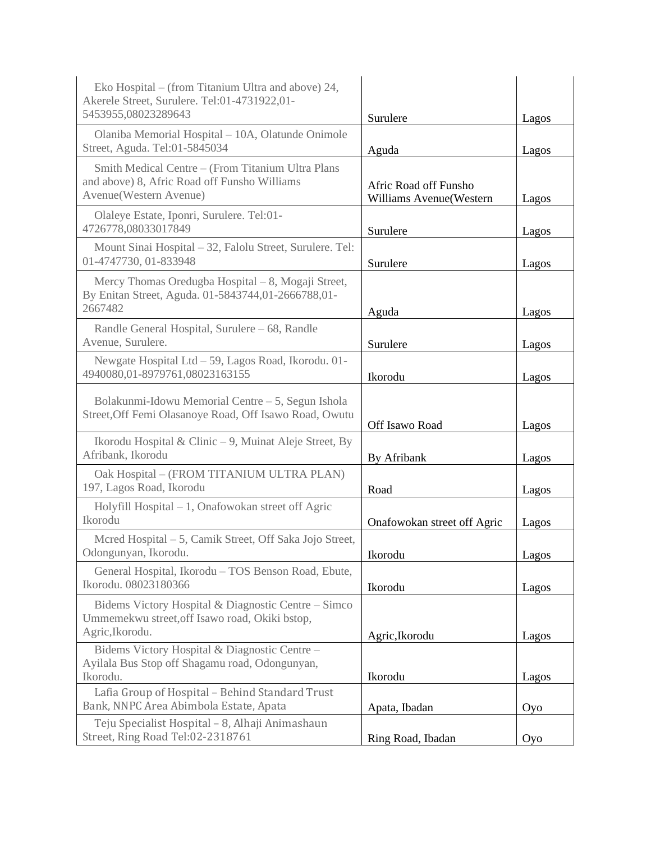| Eko Hospital – (from Titanium Ultra and above) 24,<br>Akerele Street, Surulere. Tel:01-4731922,01-<br>5453955,08023289643   | Surulere                                         | Lagos |
|-----------------------------------------------------------------------------------------------------------------------------|--------------------------------------------------|-------|
| Olaniba Memorial Hospital - 10A, Olatunde Onimole<br>Street, Aguda. Tel:01-5845034                                          | Aguda                                            | Lagos |
| Smith Medical Centre - (From Titanium Ultra Plans<br>and above) 8, Afric Road off Funsho Williams<br>Avenue(Western Avenue) | Afric Road off Funsho<br>Williams Avenue(Western | Lagos |
| Olaleye Estate, Iponri, Surulere. Tel:01-<br>4726778,08033017849                                                            | Surulere                                         | Lagos |
| Mount Sinai Hospital - 32, Falolu Street, Surulere. Tel:<br>01-4747730, 01-833948                                           | Surulere                                         | Lagos |
| Mercy Thomas Oredugba Hospital - 8, Mogaji Street,<br>By Enitan Street, Aguda. 01-5843744,01-2666788,01-<br>2667482         | Aguda                                            | Lagos |
| Randle General Hospital, Surulere - 68, Randle<br>Avenue, Surulere.                                                         | Surulere                                         | Lagos |
| Newgate Hospital Ltd - 59, Lagos Road, Ikorodu. 01-<br>4940080,01-8979761,08023163155                                       | Ikorodu                                          | Lagos |
| Bolakunmi-Idowu Memorial Centre – 5, Segun Ishola<br>Street, Off Femi Olasanoye Road, Off Isawo Road, Owutu                 | Off Isawo Road                                   | Lagos |
| Ikorodu Hospital & Clinic – 9, Muinat Aleje Street, By<br>Afribank, Ikorodu                                                 | By Afribank                                      | Lagos |
| Oak Hospital - (FROM TITANIUM ULTRA PLAN)<br>197, Lagos Road, Ikorodu                                                       | Road                                             | Lagos |
| Holyfill Hospital - 1, Onafowokan street off Agric<br>Ikorodu                                                               | Onafowokan street off Agric                      | Lagos |
| Mcred Hospital – 5, Camik Street, Off Saka Jojo Street,<br>Odongunyan, Ikorodu.                                             | Ikorodu                                          | Lagos |
| General Hospital, Ikorodu - TOS Benson Road, Ebute,<br>Ikorodu. 08023180366                                                 | Ikorodu                                          | Lagos |
| Bidems Victory Hospital & Diagnostic Centre - Simco<br>Ummemekwu street, off Isawo road, Okiki bstop,<br>Agric, Ikorodu.    | Agric, Ikorodu                                   | Lagos |
| Bidems Victory Hospital & Diagnostic Centre -<br>Ayilala Bus Stop off Shagamu road, Odongunyan,<br>Ikorodu.                 | Ikorodu                                          | Lagos |
| Lafia Group of Hospital - Behind Standard Trust<br>Bank, NNPC Area Abimbola Estate, Apata                                   | Apata, Ibadan                                    | Oyo   |
| Teju Specialist Hospital - 8, Alhaji Animashaun<br>Street, Ring Road Tel:02-2318761                                         | Ring Road, Ibadan                                | Oyo   |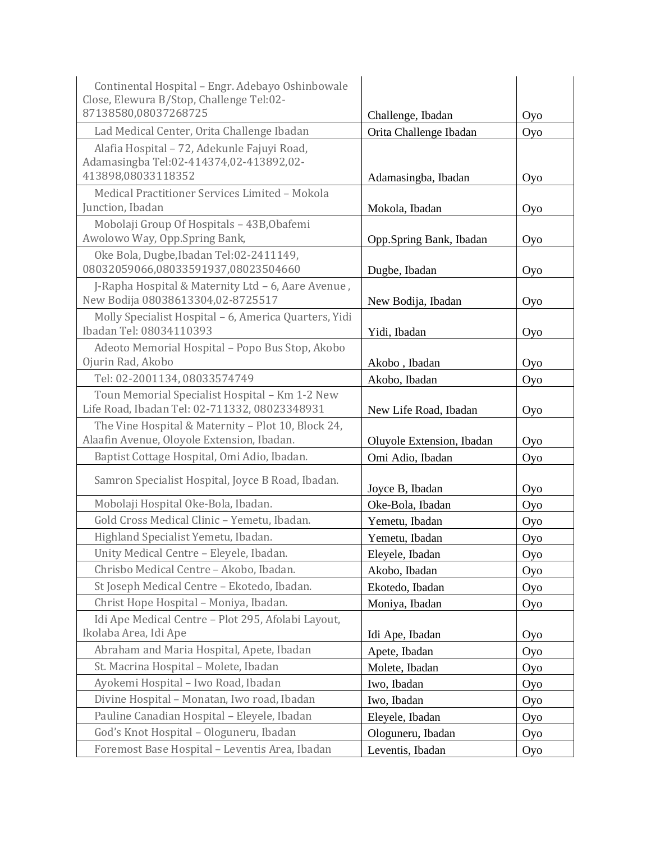| Continental Hospital - Engr. Adebayo Oshinbowale                                                             |                           |     |
|--------------------------------------------------------------------------------------------------------------|---------------------------|-----|
| Close, Elewura B/Stop, Challenge Tel:02-<br>87138580,08037268725                                             | Challenge, Ibadan         | Oyo |
| Lad Medical Center, Orita Challenge Ibadan                                                                   | Orita Challenge Ibadan    | Oyo |
| Alafia Hospital - 72, Adekunle Fajuyi Road,<br>Adamasingba Tel:02-414374,02-413892,02-<br>413898,08033118352 | Adamasingba, Ibadan       | Oyo |
| Medical Practitioner Services Limited - Mokola                                                               |                           |     |
| Junction, Ibadan                                                                                             | Mokola, Ibadan            | Oyo |
| Mobolaji Group Of Hospitals - 43B, Obafemi<br>Awolowo Way, Opp.Spring Bank,                                  | Opp.Spring Bank, Ibadan   | Oyo |
| Oke Bola, Dugbe, Ibadan Tel: 02-2411149,<br>08032059066,08033591937,08023504660                              | Dugbe, Ibadan             | Oyo |
| J-Rapha Hospital & Maternity Ltd - 6, Aare Avenue,<br>New Bodija 08038613304,02-8725517                      | New Bodija, Ibadan        | Oyo |
| Molly Specialist Hospital - 6, America Quarters, Yidi<br>Ibadan Tel: 08034110393                             | Yidi, Ibadan              | Oyo |
| Adeoto Memorial Hospital - Popo Bus Stop, Akobo<br>Ojurin Rad, Akobo                                         | Akobo, Ibadan             | Oyo |
| Tel: 02-2001134, 08033574749                                                                                 | Akobo, Ibadan             | Oyo |
| Toun Memorial Specialist Hospital - Km 1-2 New<br>Life Road, Ibadan Tel: 02-711332, 08023348931              | New Life Road, Ibadan     | Oyo |
| The Vine Hospital & Maternity - Plot 10, Block 24,<br>Alaafin Avenue, Oloyole Extension, Ibadan.             | Oluyole Extension, Ibadan | Oyo |
| Baptist Cottage Hospital, Omi Adio, Ibadan.                                                                  | Omi Adio, Ibadan          | Oyo |
| Samron Specialist Hospital, Joyce B Road, Ibadan.                                                            | Joyce B, Ibadan           | Oyo |
| Mobolaji Hospital Oke-Bola, Ibadan.                                                                          | Oke-Bola, Ibadan          | Oyo |
| Gold Cross Medical Clinic - Yemetu, Ibadan.                                                                  | Yemetu, Ibadan            | Oyo |
| Highland Specialist Yemetu, Ibadan.                                                                          | Yemetu, Ibadan            | Oyo |
| Unity Medical Centre - Eleyele, Ibadan.                                                                      | Eleyele, Ibadan           | Oyo |
| Chrisbo Medical Centre - Akobo, Ibadan.                                                                      | Akobo, Ibadan             | Oyo |
| St Joseph Medical Centre - Ekotedo, Ibadan.                                                                  | Ekotedo, Ibadan           | Oyo |
| Christ Hope Hospital - Moniya, Ibadan.                                                                       | Moniya, Ibadan            | Oyo |
| Idi Ape Medical Centre - Plot 295, Afolabi Layout,                                                           |                           |     |
| Ikolaba Area, Idi Ape                                                                                        | Idi Ape, Ibadan           | Oyo |
| Abraham and Maria Hospital, Apete, Ibadan                                                                    | Apete, Ibadan             | Oyo |
| St. Macrina Hospital - Molete, Ibadan                                                                        | Molete, Ibadan            | Oyo |
| Ayokemi Hospital - Iwo Road, Ibadan                                                                          | Iwo, Ibadan               | Oyo |
| Divine Hospital - Monatan, Iwo road, Ibadan                                                                  | Iwo, Ibadan               | Oyo |
| Pauline Canadian Hospital - Eleyele, Ibadan                                                                  | Eleyele, Ibadan           | Oyo |
| God's Knot Hospital - Ologuneru, Ibadan                                                                      | Ologuneru, Ibadan         | Oyo |
| Foremost Base Hospital - Leventis Area, Ibadan                                                               | Leventis, Ibadan          | Oyo |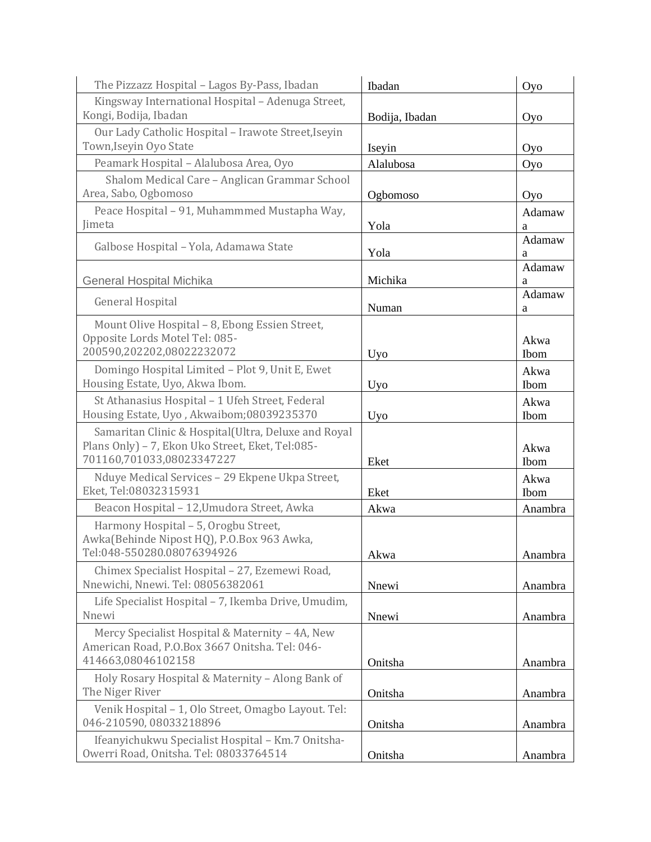| The Pizzazz Hospital - Lagos By-Pass, Ibadan                                        | Ibadan         | Oyo         |
|-------------------------------------------------------------------------------------|----------------|-------------|
| Kingsway International Hospital - Adenuga Street,<br>Kongi, Bodija, Ibadan          | Bodija, Ibadan | Oyo         |
| Our Lady Catholic Hospital - Irawote Street, Iseyin                                 |                |             |
| Town, Iseyin Oyo State                                                              | Iseyin         | Oyo         |
| Peamark Hospital - Alalubosa Area, Oyo                                              | Alalubosa      | Oyo         |
| Shalom Medical Care - Anglican Grammar School                                       |                |             |
| Area, Sabo, Ogbomoso                                                                | Ogbomoso       | Oyo         |
| Peace Hospital - 91, Muhammmed Mustapha Way,                                        |                | Adamaw      |
| <b>limeta</b>                                                                       | Yola           | a           |
| Galbose Hospital - Yola, Adamawa State                                              | Yola           | Adamaw      |
|                                                                                     |                | a<br>Adamaw |
| <b>General Hospital Michika</b>                                                     | Michika        | a           |
|                                                                                     |                | Adamaw      |
| <b>General Hospital</b>                                                             | Numan          | a           |
| Mount Olive Hospital - 8, Ebong Essien Street,                                      |                |             |
| Opposite Lords Motel Tel: 085-                                                      |                | Akwa        |
| 200590,202202,08022232072                                                           | <b>Uyo</b>     | Ibom        |
| Domingo Hospital Limited - Plot 9, Unit E, Ewet                                     |                | Akwa        |
| Housing Estate, Uyo, Akwa Ibom.                                                     | <b>Uyo</b>     | Ibom        |
| St Athanasius Hospital - 1 Ufeh Street, Federal                                     |                | Akwa        |
| Housing Estate, Uyo, Akwaibom;08039235370                                           | Uyo            | Ibom        |
| Samaritan Clinic & Hospital(Ultra, Deluxe and Royal                                 |                |             |
| Plans Only) - 7, Ekon Uko Street, Eket, Tel:085-                                    |                | Akwa        |
| 701160,701033,08023347227                                                           | Eket           | Ibom        |
| Nduye Medical Services - 29 Ekpene Ukpa Street,<br>Eket, Tel:08032315931            |                | Akwa        |
|                                                                                     | Eket           | Ibom        |
| Beacon Hospital - 12, Umudora Street, Awka                                          | Akwa           | Anambra     |
| Harmony Hospital - 5, Orogbu Street,                                                |                |             |
| Awka(Behinde Nipost HQ), P.O.Box 963 Awka,<br>Tel:048-550280.08076394926            |                | Anambra     |
|                                                                                     | Akwa           |             |
| Chimex Specialist Hospital - 27, Ezemewi Road,<br>Nnewichi, Nnewi. Tel: 08056382061 | Nnewi          | Anambra     |
| Life Specialist Hospital - 7, Ikemba Drive, Umudim,                                 |                |             |
| Nnewi                                                                               | Nnewi          | Anambra     |
| Mercy Specialist Hospital & Maternity - 4A, New                                     |                |             |
| American Road, P.O.Box 3667 Onitsha. Tel: 046-                                      |                |             |
| 414663,08046102158                                                                  | Onitsha        | Anambra     |
| Holy Rosary Hospital & Maternity - Along Bank of                                    |                |             |
| The Niger River                                                                     | Onitsha        | Anambra     |
| Venik Hospital - 1, Olo Street, Omagbo Layout. Tel:                                 |                |             |
| 046-210590, 08033218896                                                             | Onitsha        | Anambra     |
| Ifeanyichukwu Specialist Hospital - Km.7 Onitsha-                                   |                |             |
| Owerri Road, Onitsha. Tel: 08033764514                                              | Onitsha        | Anambra     |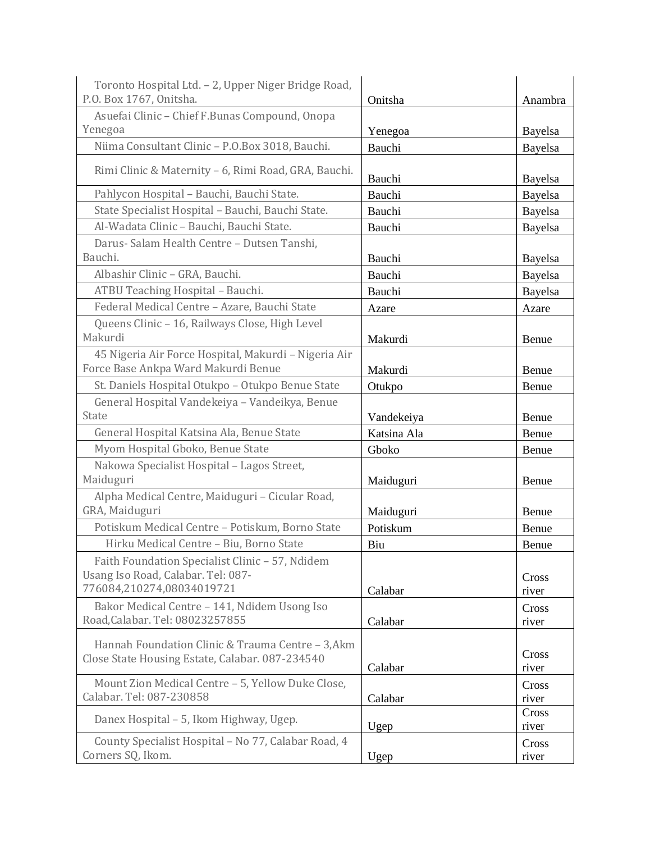| Toronto Hospital Ltd. - 2, Upper Niger Bridge Road,<br>P.O. Box 1767, Onitsha.                       | Onitsha     | Anambra |
|------------------------------------------------------------------------------------------------------|-------------|---------|
| Asuefai Clinic - Chief F.Bunas Compound, Onopa                                                       |             |         |
| Yenegoa                                                                                              | Yenegoa     | Bayelsa |
| Niima Consultant Clinic - P.O.Box 3018, Bauchi.                                                      | Bauchi      | Bayelsa |
|                                                                                                      |             |         |
| Rimi Clinic & Maternity - 6, Rimi Road, GRA, Bauchi.                                                 | Bauchi      | Bayelsa |
| Pahlycon Hospital - Bauchi, Bauchi State.                                                            | Bauchi      | Bayelsa |
| State Specialist Hospital - Bauchi, Bauchi State.                                                    | Bauchi      | Bayelsa |
| Al-Wadata Clinic - Bauchi, Bauchi State.                                                             | Bauchi      | Bayelsa |
| Darus- Salam Health Centre - Dutsen Tanshi,                                                          |             |         |
| Bauchi.                                                                                              | Bauchi      | Bayelsa |
| Albashir Clinic - GRA, Bauchi.                                                                       | Bauchi      | Bayelsa |
| ATBU Teaching Hospital - Bauchi.                                                                     | Bauchi      | Bayelsa |
| Federal Medical Centre - Azare, Bauchi State                                                         | Azare       | Azare   |
| Queens Clinic - 16, Railways Close, High Level                                                       |             |         |
| Makurdi                                                                                              | Makurdi     | Benue   |
| 45 Nigeria Air Force Hospital, Makurdi - Nigeria Air                                                 |             |         |
| Force Base Ankpa Ward Makurdi Benue                                                                  | Makurdi     | Benue   |
| St. Daniels Hospital Otukpo - Otukpo Benue State                                                     | Otukpo      | Benue   |
| General Hospital Vandekeiya - Vandeikya, Benue                                                       |             |         |
| <b>State</b>                                                                                         | Vandekeiya  | Benue   |
| General Hospital Katsina Ala, Benue State                                                            | Katsina Ala | Benue   |
| Myom Hospital Gboko, Benue State                                                                     | Gboko       | Benue   |
| Nakowa Specialist Hospital - Lagos Street,<br>Maiduguri                                              |             |         |
| Alpha Medical Centre, Maiduguri - Cicular Road,                                                      | Maiduguri   | Benue   |
| GRA, Maiduguri                                                                                       | Maiduguri   | Benue   |
| Potiskum Medical Centre - Potiskum, Borno State                                                      | Potiskum    | Benue   |
| Hirku Medical Centre - Biu, Borno State                                                              | Biu         | Benue   |
| Faith Foundation Specialist Clinic - 57, Ndidem                                                      |             |         |
| Usang Iso Road, Calabar. Tel: 087-                                                                   |             | Cross   |
| 776084,210274,08034019721                                                                            | Calabar     | river   |
| Bakor Medical Centre - 141, Ndidem Usong Iso                                                         |             | Cross   |
| Road, Calabar. Tel: 08023257855                                                                      | Calabar     | river   |
|                                                                                                      |             |         |
| Hannah Foundation Clinic & Trauma Centre - 3, Akm<br>Close State Housing Estate, Calabar. 087-234540 |             | Cross   |
|                                                                                                      | Calabar     | river   |
| Mount Zion Medical Centre - 5, Yellow Duke Close,                                                    |             | Cross   |
| Calabar. Tel: 087-230858                                                                             | Calabar     | river   |
| Danex Hospital - 5, Ikom Highway, Ugep.                                                              |             | Cross   |
|                                                                                                      | Ugep        | river   |
| County Specialist Hospital - No 77, Calabar Road, 4<br>Corners SQ, Ikom.                             |             | Cross   |
|                                                                                                      | Ugep        | river   |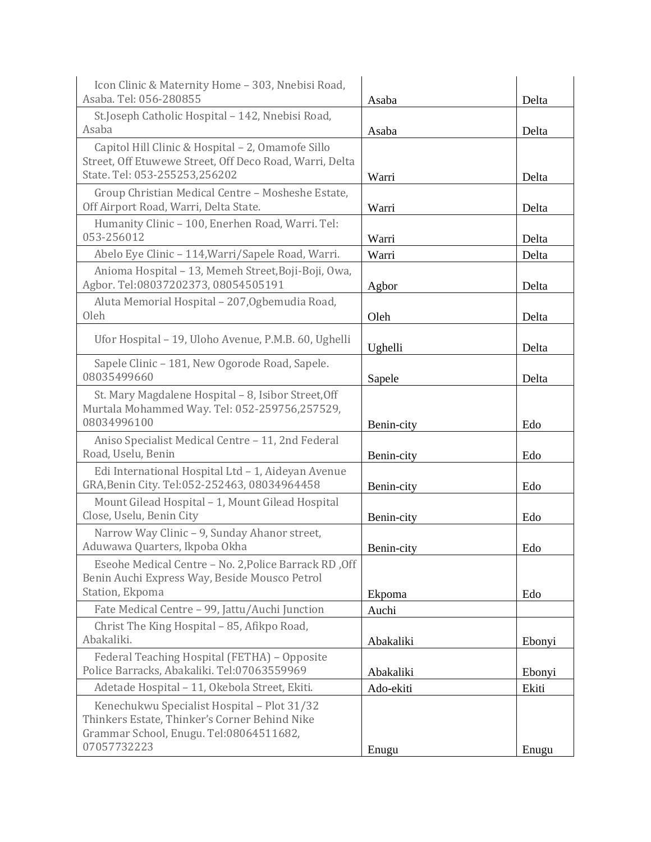| Icon Clinic & Maternity Home - 303, Nnebisi Road,<br>Asaba, Tel: 056-280855                                                                            | Asaba           | Delta  |
|--------------------------------------------------------------------------------------------------------------------------------------------------------|-----------------|--------|
| St.Joseph Catholic Hospital - 142, Nnebisi Road,<br>Asaba                                                                                              | Asaba           | Delta  |
| Capitol Hill Clinic & Hospital - 2, Omamofe Sillo<br>Street, Off Etuwewe Street, Off Deco Road, Warri, Delta<br>State. Tel: 053-255253,256202          | Warri           | Delta  |
| Group Christian Medical Centre - Mosheshe Estate,<br>Off Airport Road, Warri, Delta State.                                                             | Warri           | Delta  |
| Humanity Clinic - 100, Enerhen Road, Warri. Tel:<br>053-256012                                                                                         | Warri           | Delta  |
| Abelo Eye Clinic - 114, Warri/Sapele Road, Warri.                                                                                                      | Warri           | Delta  |
| Anioma Hospital - 13, Memeh Street, Boji-Boji, Owa,<br>Agbor. Tel:08037202373, 08054505191                                                             | Agbor           | Delta  |
| Aluta Memorial Hospital - 207, Ogbemudia Road,<br>Oleh                                                                                                 | Oleh            | Delta  |
| Ufor Hospital - 19, Uloho Avenue, P.M.B. 60, Ughelli                                                                                                   | Ughelli         | Delta  |
| Sapele Clinic - 181, New Ogorode Road, Sapele.<br>08035499660                                                                                          | Sapele          | Delta  |
| St. Mary Magdalene Hospital - 8, Isibor Street, Off<br>Murtala Mohammed Way. Tel: 052-259756,257529,<br>08034996100                                    | Benin-city      | Edo    |
| Aniso Specialist Medical Centre - 11, 2nd Federal<br>Road, Uselu, Benin                                                                                | Benin-city      | Edo    |
| Edi International Hospital Ltd - 1, Aideyan Avenue<br>GRA, Benin City. Tel: 052-252463, 08034964458                                                    | Benin-city      | Edo    |
| Mount Gilead Hospital - 1, Mount Gilead Hospital<br>Close, Uselu, Benin City                                                                           | Benin-city      | Edo    |
| Narrow Way Clinic - 9, Sunday Ahanor street,<br>Aduwawa Quarters, Ikpoba Okha                                                                          | Benin-city      | Edo    |
| Eseohe Medical Centre - No. 2, Police Barrack RD, Off<br>Benin Auchi Express Way, Beside Mousco Petrol<br>Station, Ekpoma                              |                 |        |
| Fate Medical Centre - 99, Jattu/Auchi Junction                                                                                                         | Ekpoma<br>Auchi | Edo    |
| Christ The King Hospital - 85, Afikpo Road,<br>Abakaliki.                                                                                              | Abakaliki       | Ebonyi |
| Federal Teaching Hospital (FETHA) - Opposite<br>Police Barracks, Abakaliki. Tel:07063559969                                                            | Abakaliki       | Ebonyi |
| Adetade Hospital - 11, Okebola Street, Ekiti.                                                                                                          | Ado-ekiti       | Ekiti  |
| Kenechukwu Specialist Hospital - Plot 31/32<br>Thinkers Estate, Thinker's Corner Behind Nike<br>Grammar School, Enugu. Tel:08064511682,<br>07057732223 | Enugu           | Enugu  |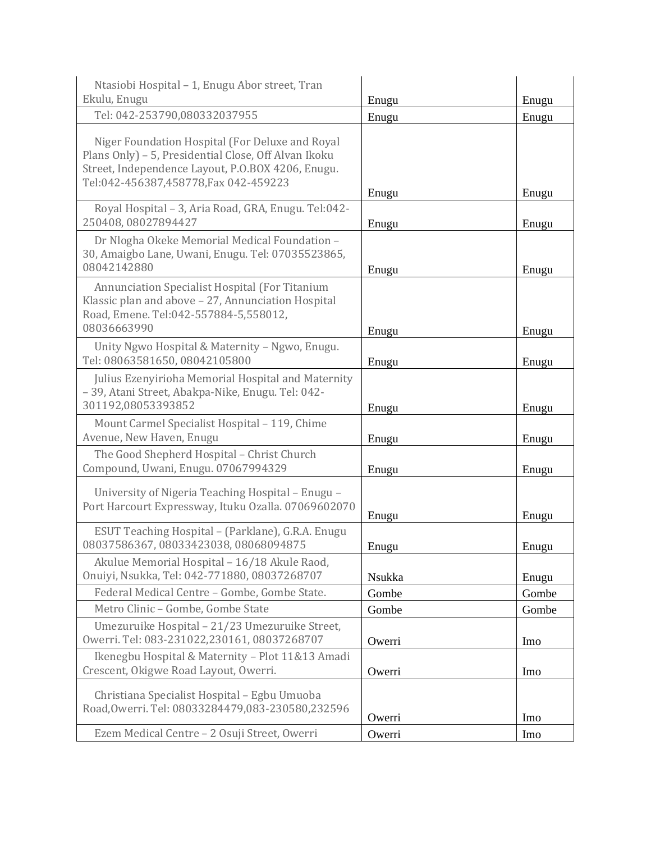| Ntasiobi Hospital - 1, Enugu Abor street, Tran                                                                                                                                                        |        |       |
|-------------------------------------------------------------------------------------------------------------------------------------------------------------------------------------------------------|--------|-------|
| Ekulu, Enugu                                                                                                                                                                                          | Enugu  | Enugu |
| Tel: 042-253790,080332037955                                                                                                                                                                          | Enugu  | Enugu |
| Niger Foundation Hospital (For Deluxe and Royal<br>Plans Only) - 5, Presidential Close, Off Alvan Ikoku<br>Street, Independence Layout, P.O.BOX 4206, Enugu.<br>Tel:042-456387,458778, Fax 042-459223 | Enugu  | Enugu |
| Royal Hospital - 3, Aria Road, GRA, Enugu. Tel:042-<br>250408,08027894427                                                                                                                             | Enugu  | Enugu |
| Dr Nlogha Okeke Memorial Medical Foundation -<br>30, Amaigbo Lane, Uwani, Enugu. Tel: 07035523865,<br>08042142880                                                                                     | Enugu  | Enugu |
| Annunciation Specialist Hospital (For Titanium<br>Klassic plan and above - 27, Annunciation Hospital<br>Road, Emene. Tel:042-557884-5,558012,<br>08036663990                                          | Enugu  | Enugu |
| Unity Ngwo Hospital & Maternity - Ngwo, Enugu.                                                                                                                                                        |        |       |
| Tel: 08063581650, 08042105800                                                                                                                                                                         | Enugu  | Enugu |
| Julius Ezenyirioha Memorial Hospital and Maternity<br>-39, Atani Street, Abakpa-Nike, Enugu. Tel: 042-<br>301192,08053393852                                                                          | Enugu  | Enugu |
| Mount Carmel Specialist Hospital - 119, Chime<br>Avenue, New Haven, Enugu                                                                                                                             | Enugu  | Enugu |
| The Good Shepherd Hospital - Christ Church<br>Compound, Uwani, Enugu. 07067994329                                                                                                                     | Enugu  | Enugu |
| University of Nigeria Teaching Hospital - Enugu -<br>Port Harcourt Expressway, Ituku Ozalla. 07069602070                                                                                              | Enugu  | Enugu |
| ESUT Teaching Hospital - (Parklane), G.R.A. Enugu<br>08037586367, 08033423038, 08068094875                                                                                                            | Enugu  | Enugu |
| Akulue Memorial Hospital - 16/18 Akule Raod,<br>Onuiyi, Nsukka, Tel: 042-771880, 08037268707                                                                                                          | Nsukka | Enugu |
| Federal Medical Centre - Gombe, Gombe State.                                                                                                                                                          | Gombe  | Gombe |
| Metro Clinic - Gombe, Gombe State                                                                                                                                                                     | Gombe  | Gombe |
| Umezuruike Hospital - 21/23 Umezuruike Street,<br>Owerri. Tel: 083-231022,230161, 08037268707                                                                                                         | Owerri | Imo   |
| Ikenegbu Hospital & Maternity - Plot 11&13 Amadi<br>Crescent, Okigwe Road Layout, Owerri.                                                                                                             | Owerri | Imo   |
| Christiana Specialist Hospital - Egbu Umuoba<br>Road, Owerri. Tel: 08033284479,083-230580, 232596                                                                                                     | Owerri | Imo   |
| Ezem Medical Centre - 2 Osuji Street, Owerri                                                                                                                                                          | Owerri | Imo   |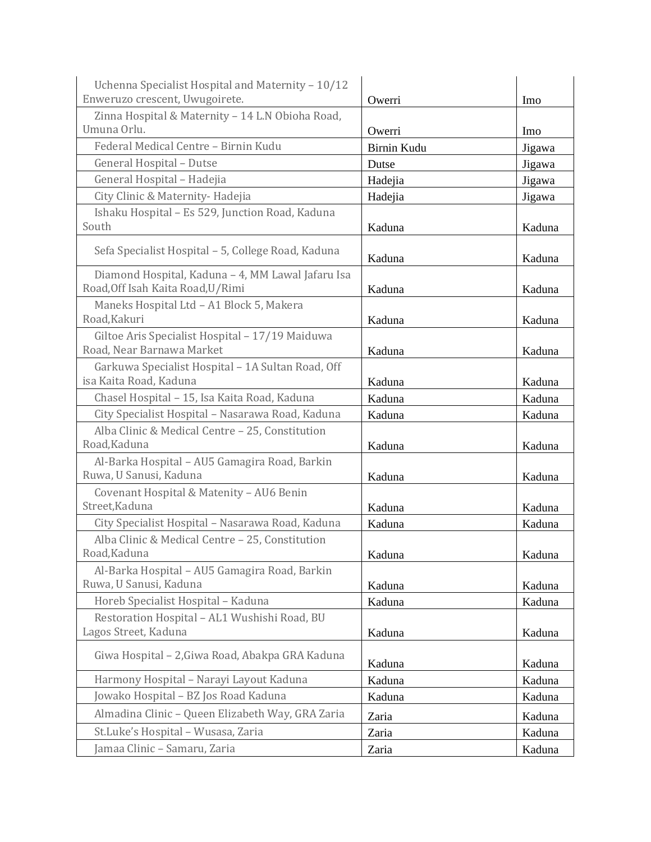| Uchenna Specialist Hospital and Maternity - 10/12                           |             |        |
|-----------------------------------------------------------------------------|-------------|--------|
| Enweruzo crescent, Uwugoirete.                                              | Owerri      | Imo    |
| Zinna Hospital & Maternity - 14 L.N Obioha Road,                            |             |        |
| Umuna Orlu.                                                                 | Owerri      | Imo    |
| Federal Medical Centre - Birnin Kudu                                        | Birnin Kudu | Jigawa |
| General Hospital - Dutse                                                    | Dutse       | Jigawa |
| General Hospital - Hadejia                                                  | Hadejia     | Jigawa |
| City Clinic & Maternity-Hadejia                                             | Hadejia     | Jigawa |
| Ishaku Hospital - Es 529, Junction Road, Kaduna                             |             |        |
| South                                                                       | Kaduna      | Kaduna |
| Sefa Specialist Hospital - 5, College Road, Kaduna                          | Kaduna      | Kaduna |
| Diamond Hospital, Kaduna - 4, MM Lawal Jafaru Isa                           |             |        |
| Road, Off Isah Kaita Road, U/Rimi                                           | Kaduna      | Kaduna |
| Maneks Hospital Ltd - A1 Block 5, Makera                                    |             |        |
| Road, Kakuri                                                                | Kaduna      | Kaduna |
| Giltoe Aris Specialist Hospital - 17/19 Maiduwa                             |             |        |
| Road, Near Barnawa Market                                                   | Kaduna      | Kaduna |
| Garkuwa Specialist Hospital - 1A Sultan Road, Off<br>isa Kaita Road, Kaduna |             |        |
|                                                                             | Kaduna      | Kaduna |
| Chasel Hospital - 15, Isa Kaita Road, Kaduna                                | Kaduna      | Kaduna |
| City Specialist Hospital - Nasarawa Road, Kaduna                            | Kaduna      | Kaduna |
| Alba Clinic & Medical Centre - 25, Constitution<br>Road, Kaduna             | Kaduna      | Kaduna |
| Al-Barka Hospital - AU5 Gamagira Road, Barkin                               |             |        |
| Ruwa, U Sanusi, Kaduna                                                      | Kaduna      | Kaduna |
| Covenant Hospital & Matenity - AU6 Benin                                    |             |        |
| Street, Kaduna                                                              | Kaduna      | Kaduna |
| City Specialist Hospital - Nasarawa Road, Kaduna                            | Kaduna      | Kaduna |
| Alba Clinic & Medical Centre - 25, Constitution<br>Road, Kaduna             |             |        |
|                                                                             | Kaduna      | Kaduna |
| Al-Barka Hospital - AU5 Gamagira Road, Barkin<br>Ruwa, U Sanusi, Kaduna     | Kaduna      | Kaduna |
| Horeb Specialist Hospital - Kaduna                                          | Kaduna      | Kaduna |
| Restoration Hospital - AL1 Wushishi Road, BU                                |             |        |
| Lagos Street, Kaduna                                                        | Kaduna      | Kaduna |
| Giwa Hospital - 2, Giwa Road, Abakpa GRA Kaduna                             | Kaduna      | Kaduna |
| Harmony Hospital - Narayi Layout Kaduna                                     | Kaduna      | Kaduna |
| Jowako Hospital – BZ Jos Road Kaduna                                        | Kaduna      | Kaduna |
| Almadina Clinic - Queen Elizabeth Way, GRA Zaria                            | Zaria       | Kaduna |
| St.Luke's Hospital - Wusasa, Zaria                                          | Zaria       | Kaduna |
| Jamaa Clinic - Samaru, Zaria                                                | Zaria       | Kaduna |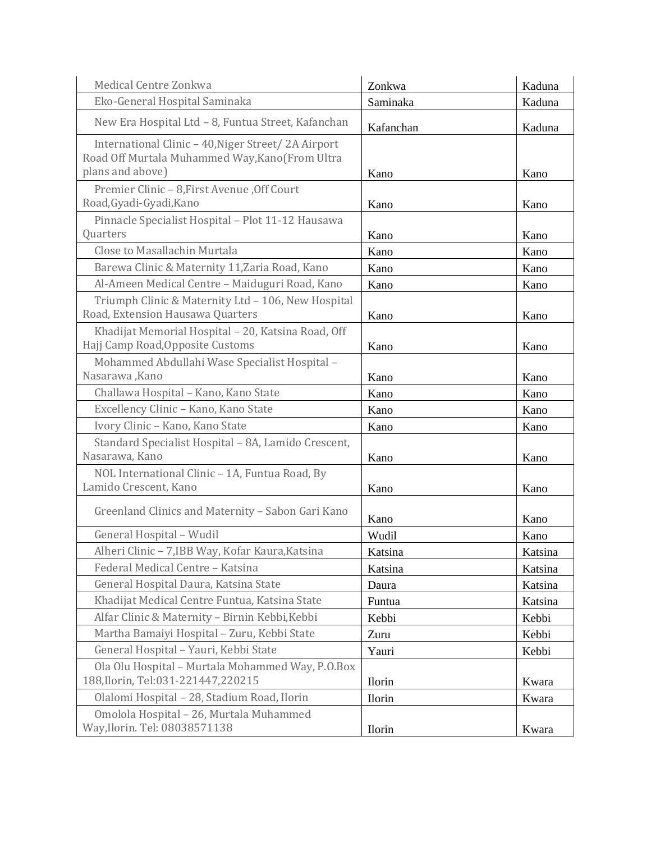| Medical Centre Zonkwa                                                                                                     | Zonkwa        | Kaduna  |
|---------------------------------------------------------------------------------------------------------------------------|---------------|---------|
| Eko-General Hospital Saminaka                                                                                             | Saminaka      | Kaduna  |
| New Era Hospital Ltd - 8, Funtua Street, Kafanchan                                                                        | Kafanchan     | Kaduna  |
| International Clinic - 40, Niger Street/2A Airport<br>Road Off Murtala Muhammed Way, Kano (From Ultra<br>plans and above) | Kano          | Kano    |
| Premier Clinic - 8, First Avenue, Off Court<br>Road, Gyadi-Gyadi, Kano                                                    | Kano          | Kano    |
| Pinnacle Specialist Hospital - Plot 11-12 Hausawa<br>Quarters                                                             | Kano          | Kano    |
| Close to Masallachin Murtala                                                                                              | Kano          | Kano    |
| Barewa Clinic & Maternity 11, Zaria Road, Kano                                                                            | Kano          | Kano    |
| Al-Ameen Medical Centre - Maiduguri Road, Kano                                                                            | Kano          | Kano    |
| Triumph Clinic & Maternity Ltd - 106, New Hospital<br>Road, Extension Hausawa Quarters                                    | Kano          | Kano    |
| Khadijat Memorial Hospital - 20, Katsina Road, Off<br>Hajj Camp Road, Opposite Customs                                    | Kano          | Kano    |
| Mohammed Abdullahi Wase Specialist Hospital -<br>Nasarawa, Kano                                                           | Kano          | Kano    |
| Challawa Hospital - Kano, Kano State                                                                                      | Kano          | Kano    |
| Excellency Clinic - Kano, Kano State                                                                                      | Kano          | Kano    |
| Ivory Clinic - Kano, Kano State                                                                                           | Kano          | Kano    |
| Standard Specialist Hospital - 8A, Lamido Crescent,<br>Nasarawa, Kano                                                     | Kano          | Kano    |
| NOL International Clinic - 1A, Funtua Road, By<br>Lamido Crescent, Kano                                                   | Kano          | Kano    |
| Greenland Clinics and Maternity - Sabon Gari Kano                                                                         | Kano          | Kano    |
| General Hospital - Wudil                                                                                                  | Wudil         | Kano    |
| Alheri Clinic - 7, IBB Way, Kofar Kaura, Katsina                                                                          | Katsina       | Katsina |
| Federal Medical Centre - Katsina                                                                                          | Katsina       | Katsina |
| General Hospital Daura, Katsina State                                                                                     | Daura         | Katsina |
| Khadijat Medical Centre Funtua, Katsina State                                                                             | Funtua        | Katsina |
| Alfar Clinic & Maternity - Birnin Kebbi, Kebbi                                                                            | Kebbi         | Kebbi   |
| Martha Bamaiyi Hospital - Zuru, Kebbi State                                                                               | Zuru          | Kebbi   |
| General Hospital - Yauri, Kebbi State                                                                                     | Yauri         | Kebbi   |
| Ola Olu Hospital - Murtala Mohammed Way, P.O.Box<br>188, Ilorin, Tel: 031-221447, 220215                                  | <b>Ilorin</b> | Kwara   |
| Olalomi Hospital - 28, Stadium Road, Ilorin                                                                               | <b>Ilorin</b> | Kwara   |
| Omolola Hospital - 26, Murtala Muhammed<br>Way, Ilorin. Tel: 08038571138                                                  | <b>Ilorin</b> | Kwara   |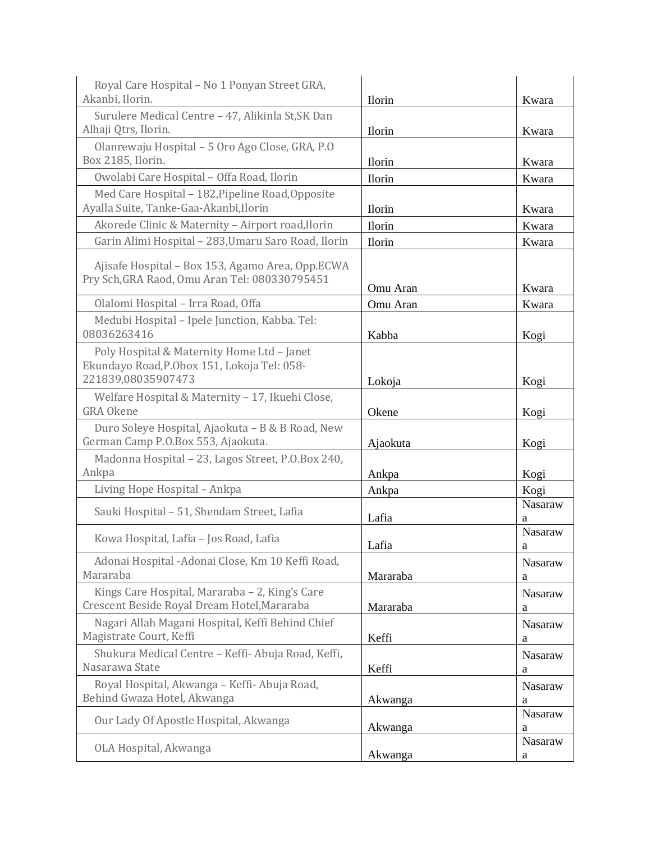| Royal Care Hospital - No 1 Ponyan Street GRA,<br>Akanbi, Ilorin.                                                | <b>Ilorin</b> | Kwara               |
|-----------------------------------------------------------------------------------------------------------------|---------------|---------------------|
| Surulere Medical Centre - 47, Alikinla St, SK Dan                                                               |               |                     |
| Alhaji Qtrs, Ilorin.                                                                                            | <b>Ilorin</b> | Kwara               |
| Olanrewaju Hospital - 5 Oro Ago Close, GRA, P.O<br>Box 2185, Ilorin.                                            | <b>Ilorin</b> | Kwara               |
| Owolabi Care Hospital - Offa Road, Ilorin                                                                       | Ilorin        | Kwara               |
| Med Care Hospital - 182, Pipeline Road, Opposite                                                                |               |                     |
| Ayalla Suite, Tanke-Gaa-Akanbi, Ilorin                                                                          | Ilorin        | Kwara               |
| Akorede Clinic & Maternity - Airport road, Ilorin                                                               | Ilorin        | Kwara               |
| Garin Alimi Hospital - 283, Umaru Saro Road, Ilorin                                                             | <b>Ilorin</b> | Kwara               |
| Ajisafe Hospital - Box 153, Agamo Area, Opp.ECWA<br>Pry Sch, GRA Raod, Omu Aran Tel: 080330795451               | Omu Aran      | Kwara               |
| Olalomi Hospital - Irra Road, Offa                                                                              | Omu Aran      | Kwara               |
| Medubi Hospital - Ipele Junction, Kabba. Tel:<br>08036263416                                                    | Kabba         | Kogi                |
| Poly Hospital & Maternity Home Ltd - Janet<br>Ekundayo Road, P.Obox 151, Lokoja Tel: 058-<br>221839,08035907473 | Lokoja        | Kogi                |
| Welfare Hospital & Maternity - 17, Ikuehi Close,                                                                |               |                     |
| <b>GRA Okene</b>                                                                                                | Okene         | Kogi                |
| Duro Soleye Hospital, Ajaokuta - B & B Road, New<br>German Camp P.O.Box 553, Ajaokuta.                          | Ajaokuta      | Kogi                |
| Madonna Hospital - 23, Lagos Street, P.O.Box 240,<br>Ankpa                                                      | Ankpa         | Kogi                |
| Living Hope Hospital - Ankpa                                                                                    | Ankpa         | Kogi                |
| Sauki Hospital - 51, Shendam Street, Lafia                                                                      | Lafia         | Nasaraw<br>a        |
| Kowa Hospital, Lafia - Jos Road, Lafia                                                                          | Lafia         | Nasaraw<br>a        |
| Adonai Hospital - Adonai Close, Km 10 Keffi Road,<br>Mararaba                                                   | Mararaba      | Nasaraw<br>a        |
| Kings Care Hospital, Mararaba - 2, King's Care<br>Crescent Beside Royal Dream Hotel, Mararaba                   | Mararaba      | <b>Nasaraw</b><br>a |
| Nagari Allah Magani Hospital, Keffi Behind Chief<br>Magistrate Court, Keffi                                     | Keffi         | Nasaraw<br>a        |
| Shukura Medical Centre - Keffi- Abuja Road, Keffi,<br>Nasarawa State                                            | Keffi         | Nasaraw<br>a        |
| Royal Hospital, Akwanga - Keffi- Abuja Road,<br>Behind Gwaza Hotel, Akwanga                                     | Akwanga       | Nasaraw<br>a        |
| Our Lady Of Apostle Hospital, Akwanga                                                                           | Akwanga       | Nasaraw<br>a        |
| OLA Hospital, Akwanga                                                                                           | Akwanga       | Nasaraw<br>a        |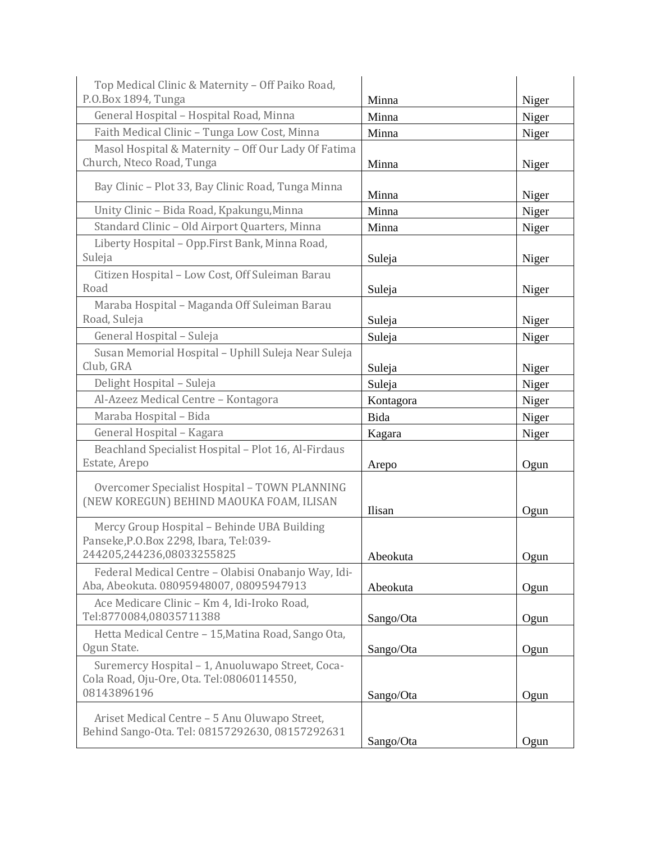| Top Medical Clinic & Maternity - Off Paiko Road,                                                                   |           |       |
|--------------------------------------------------------------------------------------------------------------------|-----------|-------|
| P.O.Box 1894, Tunga                                                                                                | Minna     | Niger |
| General Hospital - Hospital Road, Minna                                                                            | Minna     | Niger |
| Faith Medical Clinic - Tunga Low Cost, Minna                                                                       | Minna     | Niger |
| Masol Hospital & Maternity - Off Our Lady Of Fatima                                                                |           |       |
| Church, Nteco Road, Tunga                                                                                          | Minna     | Niger |
| Bay Clinic - Plot 33, Bay Clinic Road, Tunga Minna                                                                 | Minna     | Niger |
| Unity Clinic - Bida Road, Kpakungu, Minna                                                                          | Minna     | Niger |
| Standard Clinic - Old Airport Quarters, Minna                                                                      | Minna     | Niger |
| Liberty Hospital - Opp.First Bank, Minna Road,<br>Suleja                                                           | Suleja    | Niger |
| Citizen Hospital - Low Cost, Off Suleiman Barau                                                                    |           |       |
| Road                                                                                                               | Suleja    | Niger |
| Maraba Hospital - Maganda Off Suleiman Barau                                                                       |           |       |
| Road, Suleja                                                                                                       | Suleja    | Niger |
| General Hospital - Suleja                                                                                          | Suleja    | Niger |
| Susan Memorial Hospital - Uphill Suleja Near Suleja<br>Club, GRA                                                   | Suleja    | Niger |
| Delight Hospital - Suleja                                                                                          | Suleja    | Niger |
| Al-Azeez Medical Centre - Kontagora                                                                                | Kontagora | Niger |
| Maraba Hospital - Bida                                                                                             | Bida      | Niger |
| General Hospital - Kagara                                                                                          | Kagara    | Niger |
| Beachland Specialist Hospital - Plot 16, Al-Firdaus                                                                |           |       |
| Estate, Arepo                                                                                                      | Arepo     | Ogun  |
| Overcomer Specialist Hospital - TOWN PLANNING<br>(NEW KOREGUN) BEHIND MAOUKA FOAM, ILISAN                          | Ilisan    | Ogun  |
| Mercy Group Hospital - Behinde UBA Building<br>Panseke, P.O.Box 2298, Ibara, Tel:039-<br>244205,244236,08033255825 |           |       |
|                                                                                                                    | Abeokuta  | Ogun  |
| Federal Medical Centre - Olabisi Onabanjo Way, Idi-<br>Aba, Abeokuta. 08095948007, 08095947913                     | Abeokuta  | Ogun  |
| Ace Medicare Clinic - Km 4, Idi-Iroko Road,<br>Tel:8770084,08035711388                                             | Sango/Ota | Ogun  |
| Hetta Medical Centre - 15, Matina Road, Sango Ota,<br>Ogun State.                                                  | Sango/Ota | Ogun  |
| Suremercy Hospital - 1, Anuoluwapo Street, Coca-<br>Cola Road, Oju-Ore, Ota. Tel:08060114550,<br>08143896196       | Sango/Ota | Ogun  |
| Ariset Medical Centre - 5 Anu Oluwapo Street,<br>Behind Sango-Ota. Tel: 08157292630, 08157292631                   | Sango/Ota | Ogun  |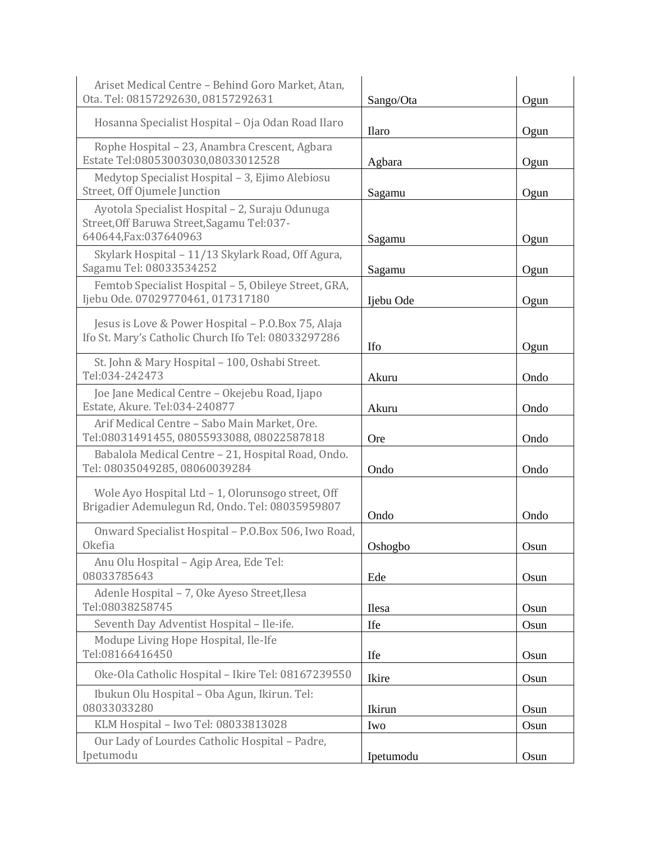| Ariset Medical Centre - Behind Goro Market, Atan,<br>Ota. Tel: 08157292630, 08157292631                                  | Sango/Ota    | Ogun |
|--------------------------------------------------------------------------------------------------------------------------|--------------|------|
| Hosanna Specialist Hospital - Oja Odan Road Ilaro                                                                        | <b>Ilaro</b> | Ogun |
| Rophe Hospital - 23, Anambra Crescent, Agbara<br>Estate Tel:08053003030,08033012528                                      | Agbara       | Ogun |
| Medytop Specialist Hospital - 3, Ejimo Alebiosu<br>Street, Off Ojumele Junction                                          | Sagamu       | Ogun |
| Ayotola Specialist Hospital - 2, Suraju Odunuga<br>Street, Off Baruwa Street, Sagamu Tel: 037-<br>640644, Fax: 037640963 | Sagamu       | Ogun |
| Skylark Hospital - 11/13 Skylark Road, Off Agura,<br>Sagamu Tel: 08033534252                                             | Sagamu       | Ogun |
| Femtob Specialist Hospital - 5, Obileye Street, GRA,<br>Ijebu Ode. 07029770461, 017317180                                | Ijebu Ode    | Ogun |
| Jesus is Love & Power Hospital - P.O.Box 75, Alaja<br>Ifo St. Mary's Catholic Church Ifo Tel: 08033297286                | Ifo          | Ogun |
| St. John & Mary Hospital - 100, Oshabi Street.<br>Tel:034-242473                                                         | Akuru        | Ondo |
| Joe Jane Medical Centre - Okejebu Road, Ijapo<br>Estate, Akure. Tel:034-240877                                           | Akuru        | Ondo |
| Arif Medical Centre - Sabo Main Market, Ore.<br>Tel:08031491455, 08055933088, 08022587818                                | <b>Ore</b>   | Ondo |
| Babalola Medical Centre - 21, Hospital Road, Ondo.<br>Tel: 08035049285, 08060039284                                      | Ondo         | Ondo |
| Wole Ayo Hospital Ltd - 1, Olorunsogo street, Off<br>Brigadier Ademulegun Rd, Ondo. Tel: 08035959807                     | Ondo         | Ondo |
| Onward Specialist Hospital - P.O.Box 506, Iwo Road,<br><b>Okefia</b>                                                     | Oshogbo      | Osun |
| Anu Olu Hospital - Agip Area, Ede Tel:<br>08033785643                                                                    | Ede          | Osun |
| Adenle Hospital - 7, Oke Ayeso Street, Ilesa<br>Tel:08038258745                                                          | Ilesa        | Osun |
| Seventh Day Adventist Hospital - Ile-ife.                                                                                | Ife          | Osun |
| Modupe Living Hope Hospital, Ile-Ife<br>Tel:08166416450                                                                  | Ife          | Osun |
| Oke-Ola Catholic Hospital - Ikire Tel: 08167239550                                                                       | Ikire        | Osun |
| Ibukun Olu Hospital - Oba Agun, Ikirun. Tel:<br>08033033280                                                              | Ikirun       | Osun |
| KLM Hospital - Iwo Tel: 08033813028                                                                                      | Iwo          | Osun |
| Our Lady of Lourdes Catholic Hospital - Padre,<br>Ipetumodu                                                              | Ipetumodu    | Osun |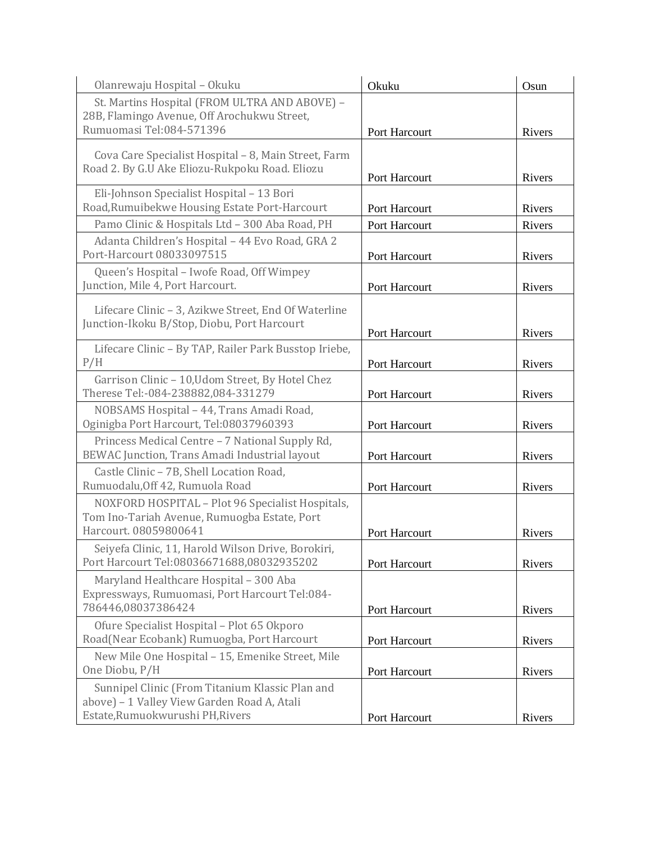| Olanrewaju Hospital - Okuku                                                                      | Okuku         | Osun   |
|--------------------------------------------------------------------------------------------------|---------------|--------|
| St. Martins Hospital (FROM ULTRA AND ABOVE) -                                                    |               |        |
| 28B, Flamingo Avenue, Off Arochukwu Street,<br>Rumuomasi Tel:084-571396                          |               |        |
|                                                                                                  | Port Harcourt | Rivers |
| Cova Care Specialist Hospital - 8, Main Street, Farm                                             |               |        |
| Road 2. By G.U Ake Eliozu-Rukpoku Road. Eliozu                                                   | Port Harcourt | Rivers |
| Eli-Johnson Specialist Hospital - 13 Bori                                                        |               |        |
| Road, Rumuibekwe Housing Estate Port-Harcourt                                                    | Port Harcourt | Rivers |
| Pamo Clinic & Hospitals Ltd - 300 Aba Road, PH                                                   | Port Harcourt | Rivers |
| Adanta Children's Hospital - 44 Evo Road, GRA 2                                                  |               |        |
| Port-Harcourt 08033097515                                                                        | Port Harcourt | Rivers |
| Queen's Hospital - Iwofe Road, Off Wimpey                                                        |               |        |
| Junction, Mile 4, Port Harcourt.                                                                 | Port Harcourt | Rivers |
| Lifecare Clinic - 3, Azikwe Street, End Of Waterline                                             |               |        |
| Junction-Ikoku B/Stop, Diobu, Port Harcourt                                                      | Port Harcourt | Rivers |
| Lifecare Clinic - By TAP, Railer Park Busstop Iriebe,                                            |               |        |
| P/H                                                                                              | Port Harcourt | Rivers |
| Garrison Clinic - 10, Udom Street, By Hotel Chez                                                 |               |        |
| Therese Tel:-084-238882,084-331279                                                               | Port Harcourt | Rivers |
| NOBSAMS Hospital - 44, Trans Amadi Road,<br>Oginigba Port Harcourt, Tel:08037960393              | Port Harcourt | Rivers |
| Princess Medical Centre - 7 National Supply Rd,                                                  |               |        |
| BEWAC Junction, Trans Amadi Industrial layout                                                    | Port Harcourt | Rivers |
| Castle Clinic - 7B, Shell Location Road,                                                         |               |        |
| Rumuodalu, Off 42, Rumuola Road                                                                  | Port Harcourt | Rivers |
| NOXFORD HOSPITAL - Plot 96 Specialist Hospitals,<br>Tom Ino-Tariah Avenue, Rumuogba Estate, Port |               |        |
| Harcourt. 08059800641                                                                            | Port Harcourt | Rivers |
| Seiyefa Clinic, 11, Harold Wilson Drive, Borokiri,                                               |               |        |
| Port Harcourt Tel:08036671688,08032935202                                                        | Port Harcourt | Rivers |
| Maryland Healthcare Hospital - 300 Aba                                                           |               |        |
| Expressways, Rumuomasi, Port Harcourt Tel:084-<br>786446,08037386424                             |               |        |
| Ofure Specialist Hospital - Plot 65 Okporo                                                       | Port Harcourt | Rivers |
| Road(Near Ecobank) Rumuogba, Port Harcourt                                                       | Port Harcourt | Rivers |
| New Mile One Hospital - 15, Emenike Street, Mile                                                 |               |        |
| One Diobu, P/H                                                                                   | Port Harcourt | Rivers |
| Sunnipel Clinic (From Titanium Klassic Plan and                                                  |               |        |
| above) - 1 Valley View Garden Road A, Atali<br>Estate, Rumuokwurushi PH, Rivers                  |               |        |
|                                                                                                  | Port Harcourt | Rivers |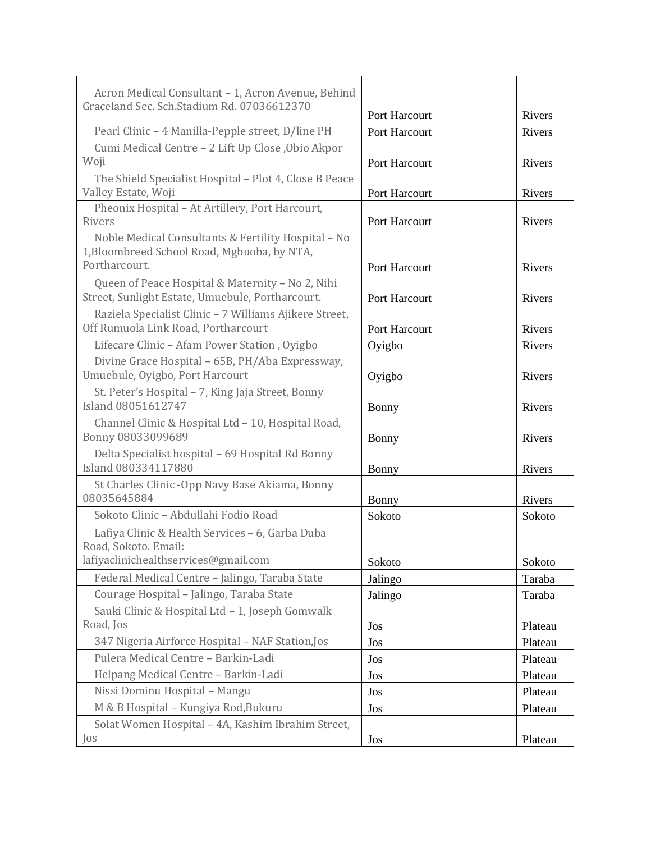| Acron Medical Consultant - 1, Acron Avenue, Behind                                                   |               |         |
|------------------------------------------------------------------------------------------------------|---------------|---------|
| Graceland Sec. Sch.Stadium Rd. 07036612370                                                           | Port Harcourt | Rivers  |
| Pearl Clinic - 4 Manilla-Pepple street, D/line PH                                                    | Port Harcourt | Rivers  |
| Cumi Medical Centre - 2 Lift Up Close , Obio Akpor                                                   |               |         |
| Woji                                                                                                 | Port Harcourt | Rivers  |
| The Shield Specialist Hospital - Plot 4, Close B Peace                                               |               |         |
| Valley Estate, Woji                                                                                  | Port Harcourt | Rivers  |
| Pheonix Hospital - At Artillery, Port Harcourt,                                                      |               |         |
| Rivers                                                                                               | Port Harcourt | Rivers  |
| Noble Medical Consultants & Fertility Hospital - No                                                  |               |         |
| 1, Bloombreed School Road, Mgbuoba, by NTA,<br>Portharcourt.                                         |               |         |
|                                                                                                      | Port Harcourt | Rivers  |
| Queen of Peace Hospital & Maternity - No 2, Nihi<br>Street, Sunlight Estate, Umuebule, Portharcourt. | Port Harcourt | Rivers  |
| Raziela Specialist Clinic - 7 Williams Ajikere Street,                                               |               |         |
| Off Rumuola Link Road, Portharcourt                                                                  | Port Harcourt | Rivers  |
| Lifecare Clinic - Afam Power Station, Oyigbo                                                         | Oyigbo        | Rivers  |
| Divine Grace Hospital - 65B, PH/Aba Expressway,                                                      |               |         |
| Umuebule, Oyigbo, Port Harcourt                                                                      | Oyigbo        | Rivers  |
| St. Peter's Hospital - 7, King Jaja Street, Bonny                                                    |               |         |
| Island 08051612747                                                                                   | Bonny         | Rivers  |
| Channel Clinic & Hospital Ltd - 10, Hospital Road,<br>Bonny 08033099689                              | <b>Bonny</b>  | Rivers  |
| Delta Specialist hospital - 69 Hospital Rd Bonny<br>Island 080334117880                              | Bonny         | Rivers  |
| St Charles Clinic - Opp Navy Base Akiama, Bonny<br>08035645884                                       | <b>Bonny</b>  | Rivers  |
| Sokoto Clinic - Abdullahi Fodio Road                                                                 | Sokoto        | Sokoto  |
| Lafiya Clinic & Health Services - 6, Garba Duba                                                      |               |         |
| Road, Sokoto. Email:                                                                                 |               |         |
| lafiyaclinichealthservices@gmail.com                                                                 | Sokoto        | Sokoto  |
| Federal Medical Centre - Jalingo, Taraba State                                                       | Jalingo       | Taraba  |
| Courage Hospital - Jalingo, Taraba State                                                             | Jalingo       | Taraba  |
| Sauki Clinic & Hospital Ltd - 1, Joseph Gomwalk                                                      |               |         |
| Road, Jos                                                                                            | Jos           | Plateau |
| 347 Nigeria Airforce Hospital - NAF Station, Jos                                                     | Jos           | Plateau |
| Pulera Medical Centre - Barkin-Ladi                                                                  | Jos           | Plateau |
| Helpang Medical Centre - Barkin-Ladi                                                                 | Jos           | Plateau |
| Nissi Dominu Hospital - Mangu                                                                        | Jos           | Plateau |
| M & B Hospital - Kungiya Rod, Bukuru                                                                 | Jos           | Plateau |
| Solat Women Hospital - 4A, Kashim Ibrahim Street,                                                    |               |         |
| Jos                                                                                                  | Jos           | Plateau |